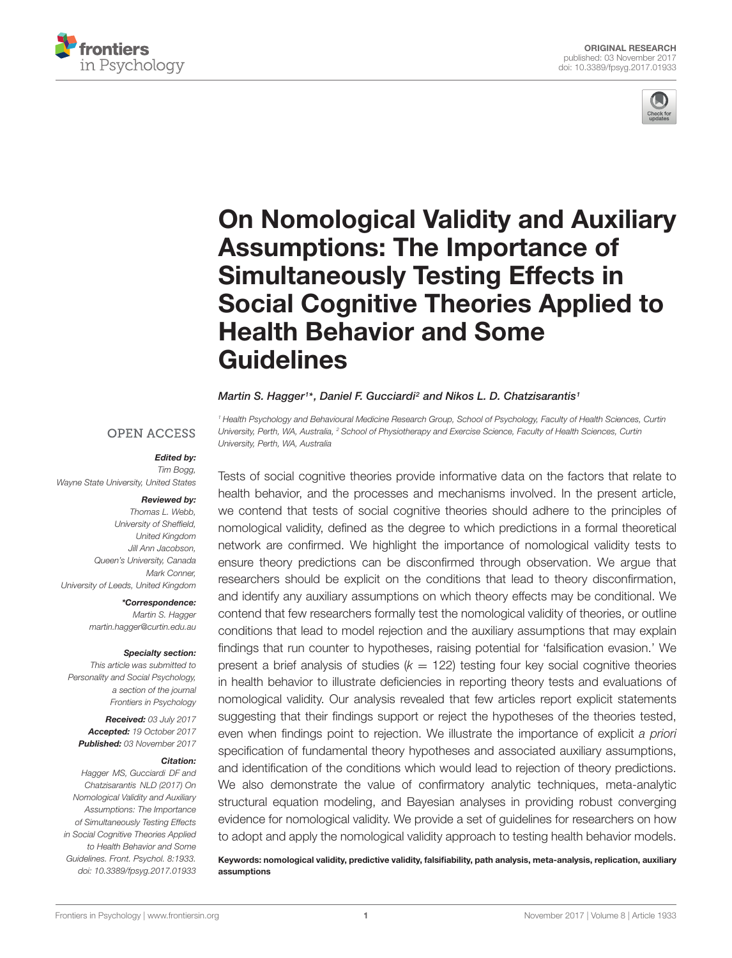



# [On Nomological Validity and Auxiliary](https://www.frontiersin.org/articles/10.3389/fpsyg.2017.01933/full) Assumptions: The Importance of Simultaneously Testing Effects in Social Cognitive Theories Applied to Health Behavior and Some Guidelines

#### [Martin S. Hagger](http://loop.frontiersin.org/people/21368/overview)1\*, [Daniel F. Gucciardi](http://loop.frontiersin.org/people/414715/overview)<sup>2</sup> and [Nikos L. D. Chatzisarantis](http://loop.frontiersin.org/people/200672/overview)1

University, Perth, WA, Australia, <sup>2</sup> School of Physiotherapy and Exercise Science, Faculty of Health Sciences, Curtin University, Perth, WA, Australia

#### **OPEN ACCESS**

#### Edited by:

Tim Bogg, Wayne State University, United States

#### Reviewed by:

Thomas L. Webb, University of Sheffield, United Kingdom Jill Ann Jacobson, Queen's University, Canada Mark Conner, University of Leeds, United Kingdom

> \*Correspondence: Martin S. Hagger martin.hagger@curtin.edu.au

#### Specialty section:

This article was submitted to Personality and Social Psychology, a section of the journal Frontiers in Psychology

Received: 03 July 2017 Accepted: 19 October 2017 Published: 03 November 2017

#### Citation:

Hagger MS, Gucciardi DF and Chatzisarantis NLD (2017) On Nomological Validity and Auxiliary Assumptions: The Importance of Simultaneously Testing Effects in Social Cognitive Theories Applied to Health Behavior and Some Guidelines. Front. Psychol. 8:1933. doi: [10.3389/fpsyg.2017.01933](https://doi.org/10.3389/fpsyg.2017.01933) <sup>1</sup> Health Psychology and Behavioural Medicine Research Group, School of Psychology, Faculty of Health Sciences, Curtin

Tests of social cognitive theories provide informative data on the factors that relate to health behavior, and the processes and mechanisms involved. In the present article, we contend that tests of social cognitive theories should adhere to the principles of nomological validity, defined as the degree to which predictions in a formal theoretical network are confirmed. We highlight the importance of nomological validity tests to ensure theory predictions can be disconfirmed through observation. We argue that researchers should be explicit on the conditions that lead to theory disconfirmation, and identify any auxiliary assumptions on which theory effects may be conditional. We contend that few researchers formally test the nomological validity of theories, or outline conditions that lead to model rejection and the auxiliary assumptions that may explain findings that run counter to hypotheses, raising potential for 'falsification evasion.' We present a brief analysis of studies ( $k = 122$ ) testing four key social cognitive theories in health behavior to illustrate deficiencies in reporting theory tests and evaluations of nomological validity. Our analysis revealed that few articles report explicit statements suggesting that their findings support or reject the hypotheses of the theories tested, even when findings point to rejection. We illustrate the importance of explicit a priori specification of fundamental theory hypotheses and associated auxiliary assumptions, and identification of the conditions which would lead to rejection of theory predictions. We also demonstrate the value of confirmatory analytic techniques, meta-analytic structural equation modeling, and Bayesian analyses in providing robust converging evidence for nomological validity. We provide a set of guidelines for researchers on how to adopt and apply the nomological validity approach to testing health behavior models.

Keywords: nomological validity, predictive validity, falsifiability, path analysis, meta-analysis, replication, auxiliary assumptions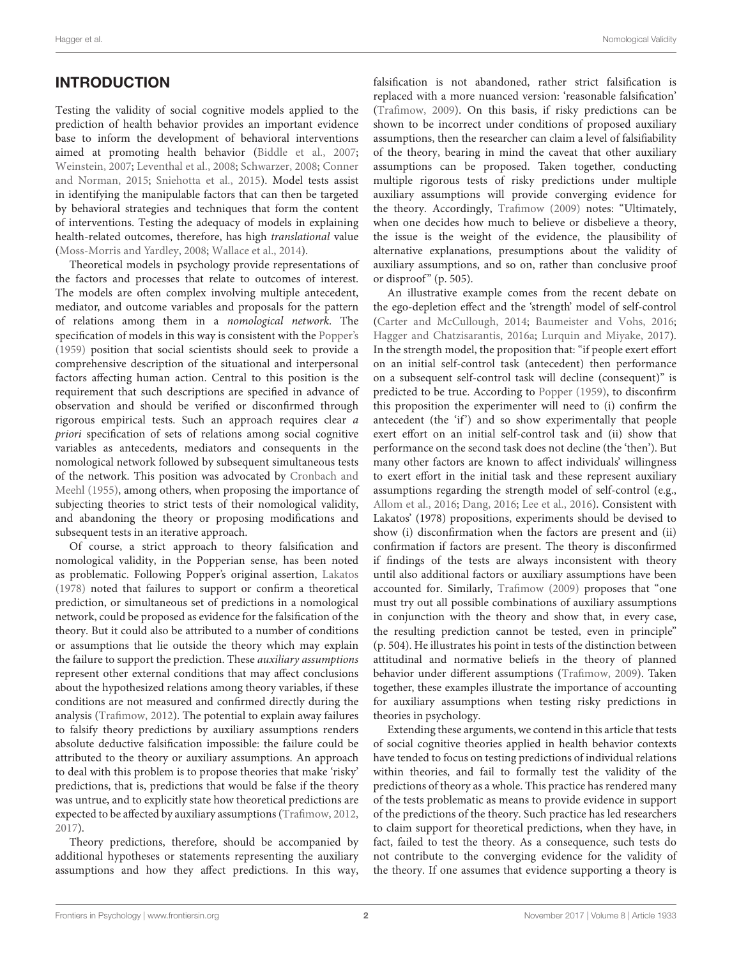## INTRODUCTION

Testing the validity of social cognitive models applied to the prediction of health behavior provides an important evidence base to inform the development of behavioral interventions aimed at promoting health behavior [\(Biddle et al.,](#page-11-0) [2007;](#page-11-0) [Weinstein,](#page-13-0) [2007;](#page-13-0) [Leventhal et al.,](#page-12-0) [2008;](#page-12-0) [Schwarzer,](#page-12-1) [2008;](#page-12-1) [Conner](#page-11-1) [and Norman,](#page-11-1) [2015;](#page-11-1) [Sniehotta et al.,](#page-12-2) [2015\)](#page-12-2). Model tests assist in identifying the manipulable factors that can then be targeted by behavioral strategies and techniques that form the content of interventions. Testing the adequacy of models in explaining health-related outcomes, therefore, has high translational value [\(Moss-Morris and Yardley,](#page-12-3) [2008;](#page-12-3) [Wallace et al.,](#page-13-1) [2014\)](#page-13-1).

Theoretical models in psychology provide representations of the factors and processes that relate to outcomes of interest. The models are often complex involving multiple antecedent, mediator, and outcome variables and proposals for the pattern of relations among them in a nomological network. The specification of models in this way is consistent with the [Popper'](#page-12-4)s [\(1959\)](#page-12-4) position that social scientists should seek to provide a comprehensive description of the situational and interpersonal factors affecting human action. Central to this position is the requirement that such descriptions are specified in advance of observation and should be verified or disconfirmed through rigorous empirical tests. Such an approach requires clear a priori specification of sets of relations among social cognitive variables as antecedents, mediators and consequents in the nomological network followed by subsequent simultaneous tests of the network. This position was advocated by [Cronbach and](#page-11-2) [Meehl](#page-11-2) [\(1955\)](#page-11-2), among others, when proposing the importance of subjecting theories to strict tests of their nomological validity, and abandoning the theory or proposing modifications and subsequent tests in an iterative approach.

Of course, a strict approach to theory falsification and nomological validity, in the Popperian sense, has been noted as problematic. Following Popper's original assertion, [Lakatos](#page-12-5) [\(1978\)](#page-12-5) noted that failures to support or confirm a theoretical prediction, or simultaneous set of predictions in a nomological network, could be proposed as evidence for the falsification of the theory. But it could also be attributed to a number of conditions or assumptions that lie outside the theory which may explain the failure to support the prediction. These auxiliary assumptions represent other external conditions that may affect conclusions about the hypothesized relations among theory variables, if these conditions are not measured and confirmed directly during the analysis [\(Trafimow,](#page-12-6) [2012\)](#page-12-6). The potential to explain away failures to falsify theory predictions by auxiliary assumptions renders absolute deductive falsification impossible: the failure could be attributed to the theory or auxiliary assumptions. An approach to deal with this problem is to propose theories that make 'risky' predictions, that is, predictions that would be false if the theory was untrue, and to explicitly state how theoretical predictions are expected to be affected by auxiliary assumptions [\(Trafimow,](#page-12-6) [2012,](#page-12-6) [2017\)](#page-12-7).

Theory predictions, therefore, should be accompanied by additional hypotheses or statements representing the auxiliary assumptions and how they affect predictions. In this way, falsification is not abandoned, rather strict falsification is replaced with a more nuanced version: 'reasonable falsification' [\(Trafimow,](#page-12-8) [2009\)](#page-12-8). On this basis, if risky predictions can be shown to be incorrect under conditions of proposed auxiliary assumptions, then the researcher can claim a level of falsifiability of the theory, bearing in mind the caveat that other auxiliary assumptions can be proposed. Taken together, conducting multiple rigorous tests of risky predictions under multiple auxiliary assumptions will provide converging evidence for the theory. Accordingly, [Trafimow](#page-12-8) [\(2009\)](#page-12-8) notes: "Ultimately, when one decides how much to believe or disbelieve a theory, the issue is the weight of the evidence, the plausibility of alternative explanations, presumptions about the validity of auxiliary assumptions, and so on, rather than conclusive proof or disproof"  $(p. 505)$ .

An illustrative example comes from the recent debate on the ego-depletion effect and the 'strength' model of self-control [\(Carter and McCullough,](#page-11-3) [2014;](#page-11-3) [Baumeister and Vohs,](#page-11-4) [2016;](#page-11-4) [Hagger and Chatzisarantis,](#page-12-9) [2016a;](#page-12-9) [Lurquin and Miyake,](#page-12-10) [2017\)](#page-12-10). In the strength model, the proposition that: "if people exert effort on an initial self-control task (antecedent) then performance on a subsequent self-control task will decline (consequent)" is predicted to be true. According to [Popper](#page-12-4) [\(1959\)](#page-12-4), to disconfirm this proposition the experimenter will need to (i) confirm the antecedent (the 'if') and so show experimentally that people exert effort on an initial self-control task and (ii) show that performance on the second task does not decline (the 'then'). But many other factors are known to affect individuals' willingness to exert effort in the initial task and these represent auxiliary assumptions regarding the strength model of self-control (e.g., [Allom et al.,](#page-11-5) [2016;](#page-11-5) [Dang,](#page-11-6) [2016;](#page-11-6) [Lee et al.,](#page-12-11) [2016\)](#page-12-11). Consistent with Lakatos' (1978) propositions, experiments should be devised to show (i) disconfirmation when the factors are present and (ii) confirmation if factors are present. The theory is disconfirmed if findings of the tests are always inconsistent with theory until also additional factors or auxiliary assumptions have been accounted for. Similarly, [Trafimow](#page-12-8) [\(2009\)](#page-12-8) proposes that "one must try out all possible combinations of auxiliary assumptions in conjunction with the theory and show that, in every case, the resulting prediction cannot be tested, even in principle" (p. 504). He illustrates his point in tests of the distinction between attitudinal and normative beliefs in the theory of planned behavior under different assumptions [\(Trafimow,](#page-12-8) [2009\)](#page-12-8). Taken together, these examples illustrate the importance of accounting for auxiliary assumptions when testing risky predictions in theories in psychology.

Extending these arguments, we contend in this article that tests of social cognitive theories applied in health behavior contexts have tended to focus on testing predictions of individual relations within theories, and fail to formally test the validity of the predictions of theory as a whole. This practice has rendered many of the tests problematic as means to provide evidence in support of the predictions of the theory. Such practice has led researchers to claim support for theoretical predictions, when they have, in fact, failed to test the theory. As a consequence, such tests do not contribute to the converging evidence for the validity of the theory. If one assumes that evidence supporting a theory is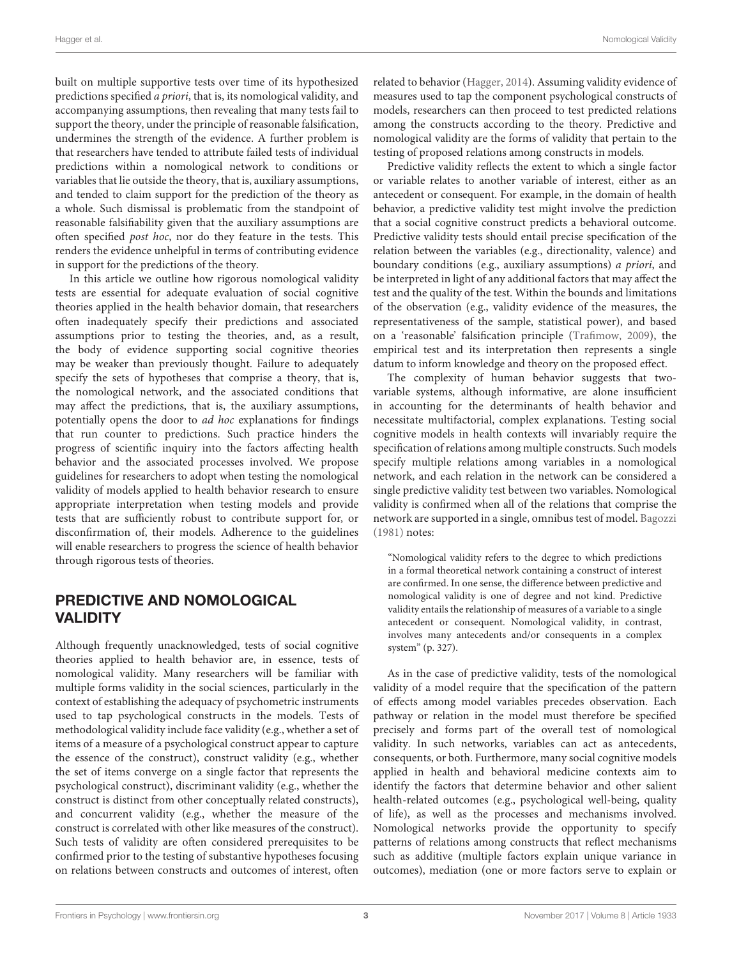built on multiple supportive tests over time of its hypothesized predictions specified a priori, that is, its nomological validity, and accompanying assumptions, then revealing that many tests fail to support the theory, under the principle of reasonable falsification, undermines the strength of the evidence. A further problem is that researchers have tended to attribute failed tests of individual predictions within a nomological network to conditions or variables that lie outside the theory, that is, auxiliary assumptions, and tended to claim support for the prediction of the theory as a whole. Such dismissal is problematic from the standpoint of reasonable falsifiability given that the auxiliary assumptions are often specified post hoc, nor do they feature in the tests. This renders the evidence unhelpful in terms of contributing evidence in support for the predictions of the theory.

In this article we outline how rigorous nomological validity tests are essential for adequate evaluation of social cognitive theories applied in the health behavior domain, that researchers often inadequately specify their predictions and associated assumptions prior to testing the theories, and, as a result, the body of evidence supporting social cognitive theories may be weaker than previously thought. Failure to adequately specify the sets of hypotheses that comprise a theory, that is, the nomological network, and the associated conditions that may affect the predictions, that is, the auxiliary assumptions, potentially opens the door to ad hoc explanations for findings that run counter to predictions. Such practice hinders the progress of scientific inquiry into the factors affecting health behavior and the associated processes involved. We propose guidelines for researchers to adopt when testing the nomological validity of models applied to health behavior research to ensure appropriate interpretation when testing models and provide tests that are sufficiently robust to contribute support for, or disconfirmation of, their models. Adherence to the guidelines will enable researchers to progress the science of health behavior through rigorous tests of theories.

# PREDICTIVE AND NOMOLOGICAL VALIDITY

Although frequently unacknowledged, tests of social cognitive theories applied to health behavior are, in essence, tests of nomological validity. Many researchers will be familiar with multiple forms validity in the social sciences, particularly in the context of establishing the adequacy of psychometric instruments used to tap psychological constructs in the models. Tests of methodological validity include face validity (e.g., whether a set of items of a measure of a psychological construct appear to capture the essence of the construct), construct validity (e.g., whether the set of items converge on a single factor that represents the psychological construct), discriminant validity (e.g., whether the construct is distinct from other conceptually related constructs), and concurrent validity (e.g., whether the measure of the construct is correlated with other like measures of the construct). Such tests of validity are often considered prerequisites to be confirmed prior to the testing of substantive hypotheses focusing on relations between constructs and outcomes of interest, often

related to behavior [\(Hagger,](#page-11-7) [2014\)](#page-11-7). Assuming validity evidence of measures used to tap the component psychological constructs of models, researchers can then proceed to test predicted relations among the constructs according to the theory. Predictive and nomological validity are the forms of validity that pertain to the testing of proposed relations among constructs in models.

Predictive validity reflects the extent to which a single factor or variable relates to another variable of interest, either as an antecedent or consequent. For example, in the domain of health behavior, a predictive validity test might involve the prediction that a social cognitive construct predicts a behavioral outcome. Predictive validity tests should entail precise specification of the relation between the variables (e.g., directionality, valence) and boundary conditions (e.g., auxiliary assumptions) a priori, and be interpreted in light of any additional factors that may affect the test and the quality of the test. Within the bounds and limitations of the observation (e.g., validity evidence of the measures, the representativeness of the sample, statistical power), and based on a 'reasonable' falsification principle [\(Trafimow,](#page-12-8) [2009\)](#page-12-8), the empirical test and its interpretation then represents a single datum to inform knowledge and theory on the proposed effect.

The complexity of human behavior suggests that twovariable systems, although informative, are alone insufficient in accounting for the determinants of health behavior and necessitate multifactorial, complex explanations. Testing social cognitive models in health contexts will invariably require the specification of relations among multiple constructs. Such models specify multiple relations among variables in a nomological network, and each relation in the network can be considered a single predictive validity test between two variables. Nomological validity is confirmed when all of the relations that comprise the network are supported in a single, omnibus test of model. [Bagozzi](#page-11-8) [\(1981\)](#page-11-8) notes:

"Nomological validity refers to the degree to which predictions in a formal theoretical network containing a construct of interest are confirmed. In one sense, the difference between predictive and nomological validity is one of degree and not kind. Predictive validity entails the relationship of measures of a variable to a single antecedent or consequent. Nomological validity, in contrast, involves many antecedents and/or consequents in a complex system" (p. 327).

As in the case of predictive validity, tests of the nomological validity of a model require that the specification of the pattern of effects among model variables precedes observation. Each pathway or relation in the model must therefore be specified precisely and forms part of the overall test of nomological validity. In such networks, variables can act as antecedents, consequents, or both. Furthermore, many social cognitive models applied in health and behavioral medicine contexts aim to identify the factors that determine behavior and other salient health-related outcomes (e.g., psychological well-being, quality of life), as well as the processes and mechanisms involved. Nomological networks provide the opportunity to specify patterns of relations among constructs that reflect mechanisms such as additive (multiple factors explain unique variance in outcomes), mediation (one or more factors serve to explain or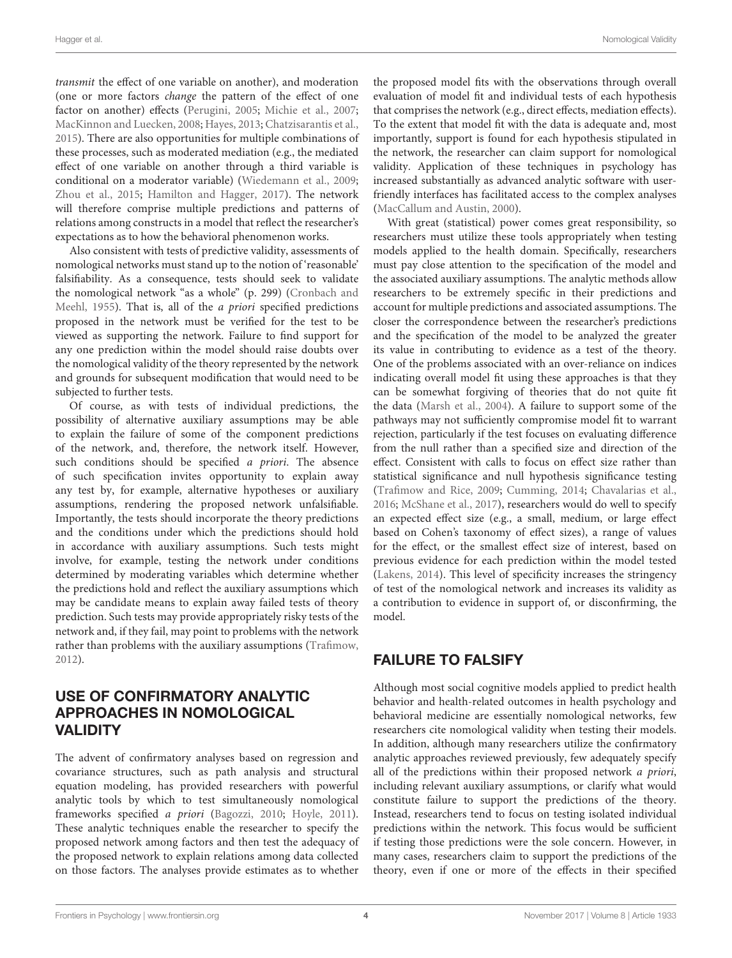transmit the effect of one variable on another), and moderation (one or more factors change the pattern of the effect of one factor on another) effects [\(Perugini,](#page-12-12) [2005;](#page-12-12) [Michie et al.,](#page-12-13) [2007;](#page-12-13) [MacKinnon and Luecken,](#page-12-14) [2008;](#page-12-14) [Hayes,](#page-12-15) [2013;](#page-12-15) [Chatzisarantis et al.,](#page-11-9) [2015\)](#page-11-9). There are also opportunities for multiple combinations of these processes, such as moderated mediation (e.g., the mediated effect of one variable on another through a third variable is conditional on a moderator variable) [\(Wiedemann et al.,](#page-13-2) [2009;](#page-13-2) [Zhou et al.,](#page-13-3) [2015;](#page-13-3) [Hamilton and Hagger,](#page-12-16) [2017\)](#page-12-16). The network will therefore comprise multiple predictions and patterns of relations among constructs in a model that reflect the researcher's expectations as to how the behavioral phenomenon works.

Also consistent with tests of predictive validity, assessments of nomological networks must stand up to the notion of 'reasonable' falsifiability. As a consequence, tests should seek to validate the nomological network "as a whole" (p. 299) [\(Cronbach and](#page-11-2) [Meehl,](#page-11-2) [1955\)](#page-11-2). That is, all of the a priori specified predictions proposed in the network must be verified for the test to be viewed as supporting the network. Failure to find support for any one prediction within the model should raise doubts over the nomological validity of the theory represented by the network and grounds for subsequent modification that would need to be subjected to further tests.

Of course, as with tests of individual predictions, the possibility of alternative auxiliary assumptions may be able to explain the failure of some of the component predictions of the network, and, therefore, the network itself. However, such conditions should be specified a priori. The absence of such specification invites opportunity to explain away any test by, for example, alternative hypotheses or auxiliary assumptions, rendering the proposed network unfalsifiable. Importantly, the tests should incorporate the theory predictions and the conditions under which the predictions should hold in accordance with auxiliary assumptions. Such tests might involve, for example, testing the network under conditions determined by moderating variables which determine whether the predictions hold and reflect the auxiliary assumptions which may be candidate means to explain away failed tests of theory prediction. Such tests may provide appropriately risky tests of the network and, if they fail, may point to problems with the network rather than problems with the auxiliary assumptions [\(Trafimow,](#page-12-6) [2012\)](#page-12-6).

# USE OF CONFIRMATORY ANALYTIC APPROACHES IN NOMOLOGICAL VALIDITY

The advent of confirmatory analyses based on regression and covariance structures, such as path analysis and structural equation modeling, has provided researchers with powerful analytic tools by which to test simultaneously nomological frameworks specified a priori [\(Bagozzi,](#page-11-10) [2010;](#page-11-10) [Hoyle,](#page-12-17) [2011\)](#page-12-17). These analytic techniques enable the researcher to specify the proposed network among factors and then test the adequacy of the proposed network to explain relations among data collected on those factors. The analyses provide estimates as to whether

the proposed model fits with the observations through overall evaluation of model fit and individual tests of each hypothesis that comprises the network (e.g., direct effects, mediation effects). To the extent that model fit with the data is adequate and, most importantly, support is found for each hypothesis stipulated in the network, the researcher can claim support for nomological validity. Application of these techniques in psychology has increased substantially as advanced analytic software with userfriendly interfaces has facilitated access to the complex analyses [\(MacCallum and Austin,](#page-12-18) [2000\)](#page-12-18).

With great (statistical) power comes great responsibility, so researchers must utilize these tools appropriately when testing models applied to the health domain. Specifically, researchers must pay close attention to the specification of the model and the associated auxiliary assumptions. The analytic methods allow researchers to be extremely specific in their predictions and account for multiple predictions and associated assumptions. The closer the correspondence between the researcher's predictions and the specification of the model to be analyzed the greater its value in contributing to evidence as a test of the theory. One of the problems associated with an over-reliance on indices indicating overall model fit using these approaches is that they can be somewhat forgiving of theories that do not quite fit the data [\(Marsh et al.,](#page-12-19) [2004\)](#page-12-19). A failure to support some of the pathways may not sufficiently compromise model fit to warrant rejection, particularly if the test focuses on evaluating difference from the null rather than a specified size and direction of the effect. Consistent with calls to focus on effect size rather than statistical significance and null hypothesis significance testing [\(Trafimow and Rice,](#page-12-20) [2009;](#page-12-20) [Cumming,](#page-11-11) [2014;](#page-11-11) [Chavalarias et al.,](#page-11-12) [2016;](#page-11-12) [McShane et al.,](#page-12-21) [2017\)](#page-12-21), researchers would do well to specify an expected effect size (e.g., a small, medium, or large effect based on Cohen's taxonomy of effect sizes), a range of values for the effect, or the smallest effect size of interest, based on previous evidence for each prediction within the model tested [\(Lakens,](#page-12-22) [2014\)](#page-12-22). This level of specificity increases the stringency of test of the nomological network and increases its validity as a contribution to evidence in support of, or disconfirming, the model.

# FAILURE TO FALSIFY

Although most social cognitive models applied to predict health behavior and health-related outcomes in health psychology and behavioral medicine are essentially nomological networks, few researchers cite nomological validity when testing their models. In addition, although many researchers utilize the confirmatory analytic approaches reviewed previously, few adequately specify all of the predictions within their proposed network a priori, including relevant auxiliary assumptions, or clarify what would constitute failure to support the predictions of the theory. Instead, researchers tend to focus on testing isolated individual predictions within the network. This focus would be sufficient if testing those predictions were the sole concern. However, in many cases, researchers claim to support the predictions of the theory, even if one or more of the effects in their specified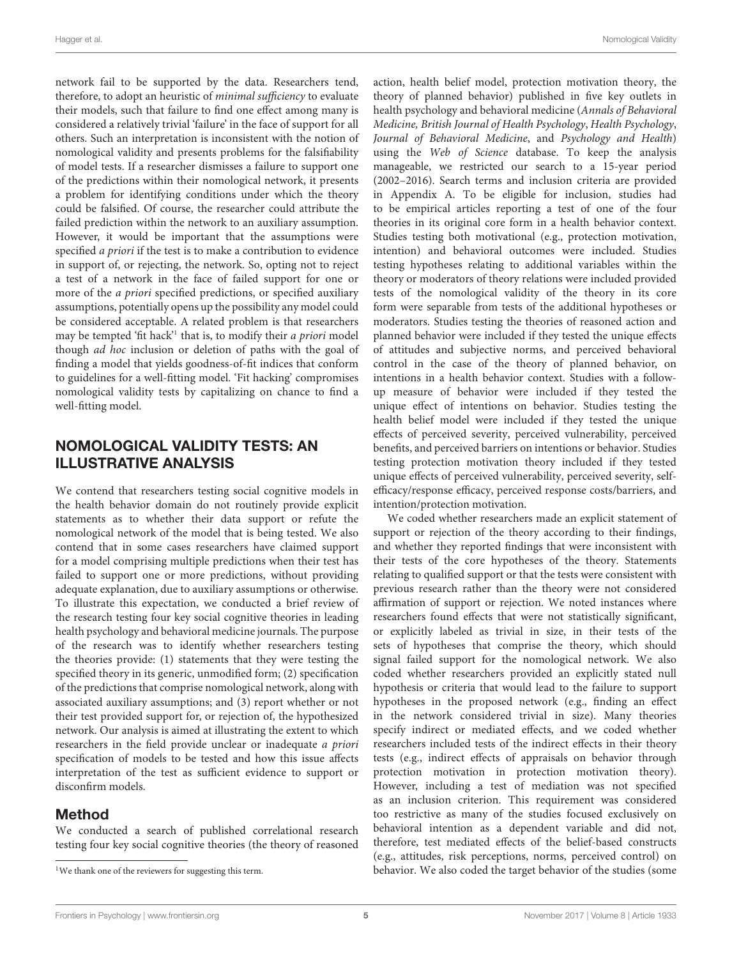network fail to be supported by the data. Researchers tend, therefore, to adopt an heuristic of minimal sufficiency to evaluate their models, such that failure to find one effect among many is considered a relatively trivial 'failure' in the face of support for all others. Such an interpretation is inconsistent with the notion of nomological validity and presents problems for the falsifiability of model tests. If a researcher dismisses a failure to support one of the predictions within their nomological network, it presents a problem for identifying conditions under which the theory could be falsified. Of course, the researcher could attribute the failed prediction within the network to an auxiliary assumption. However, it would be important that the assumptions were specified a priori if the test is to make a contribution to evidence in support of, or rejecting, the network. So, opting not to reject a test of a network in the face of failed support for one or more of the a priori specified predictions, or specified auxiliary assumptions, potentially opens up the possibility any model could be considered acceptable. A related problem is that researchers may be tempted 'fit hack'<sup>[1](#page-4-0)</sup> that is, to modify their *a priori* model though ad hoc inclusion or deletion of paths with the goal of finding a model that yields goodness-of-fit indices that conform to guidelines for a well-fitting model. 'Fit hacking' compromises nomological validity tests by capitalizing on chance to find a well-fitting model.

# NOMOLOGICAL VALIDITY TESTS: AN ILLUSTRATIVE ANALYSIS

We contend that researchers testing social cognitive models in the health behavior domain do not routinely provide explicit statements as to whether their data support or refute the nomological network of the model that is being tested. We also contend that in some cases researchers have claimed support for a model comprising multiple predictions when their test has failed to support one or more predictions, without providing adequate explanation, due to auxiliary assumptions or otherwise. To illustrate this expectation, we conducted a brief review of the research testing four key social cognitive theories in leading health psychology and behavioral medicine journals. The purpose of the research was to identify whether researchers testing the theories provide: (1) statements that they were testing the specified theory in its generic, unmodified form; (2) specification of the predictions that comprise nomological network, along with associated auxiliary assumptions; and (3) report whether or not their test provided support for, or rejection of, the hypothesized network. Our analysis is aimed at illustrating the extent to which researchers in the field provide unclear or inadequate a priori specification of models to be tested and how this issue affects interpretation of the test as sufficient evidence to support or disconfirm models.

#### Method

We conducted a search of published correlational research testing four key social cognitive theories (the theory of reasoned action, health belief model, protection motivation theory, the theory of planned behavior) published in five key outlets in health psychology and behavioral medicine (Annals of Behavioral Medicine, British Journal of Health Psychology, Health Psychology, Journal of Behavioral Medicine, and Psychology and Health) using the Web of Science database. To keep the analysis manageable, we restricted our search to a 15-year period (2002–2016). Search terms and inclusion criteria are provided in Appendix A. To be eligible for inclusion, studies had to be empirical articles reporting a test of one of the four theories in its original core form in a health behavior context. Studies testing both motivational (e.g., protection motivation, intention) and behavioral outcomes were included. Studies testing hypotheses relating to additional variables within the theory or moderators of theory relations were included provided tests of the nomological validity of the theory in its core form were separable from tests of the additional hypotheses or moderators. Studies testing the theories of reasoned action and planned behavior were included if they tested the unique effects of attitudes and subjective norms, and perceived behavioral control in the case of the theory of planned behavior, on intentions in a health behavior context. Studies with a followup measure of behavior were included if they tested the unique effect of intentions on behavior. Studies testing the health belief model were included if they tested the unique effects of perceived severity, perceived vulnerability, perceived benefits, and perceived barriers on intentions or behavior. Studies testing protection motivation theory included if they tested unique effects of perceived vulnerability, perceived severity, selfefficacy/response efficacy, perceived response costs/barriers, and intention/protection motivation.

We coded whether researchers made an explicit statement of support or rejection of the theory according to their findings, and whether they reported findings that were inconsistent with their tests of the core hypotheses of the theory. Statements relating to qualified support or that the tests were consistent with previous research rather than the theory were not considered affirmation of support or rejection. We noted instances where researchers found effects that were not statistically significant, or explicitly labeled as trivial in size, in their tests of the sets of hypotheses that comprise the theory, which should signal failed support for the nomological network. We also coded whether researchers provided an explicitly stated null hypothesis or criteria that would lead to the failure to support hypotheses in the proposed network (e.g., finding an effect in the network considered trivial in size). Many theories specify indirect or mediated effects, and we coded whether researchers included tests of the indirect effects in their theory tests (e.g., indirect effects of appraisals on behavior through protection motivation in protection motivation theory). However, including a test of mediation was not specified as an inclusion criterion. This requirement was considered too restrictive as many of the studies focused exclusively on behavioral intention as a dependent variable and did not, therefore, test mediated effects of the belief-based constructs (e.g., attitudes, risk perceptions, norms, perceived control) on behavior. We also coded the target behavior of the studies (some

<span id="page-4-0"></span><sup>&</sup>lt;sup>1</sup>We thank one of the reviewers for suggesting this term.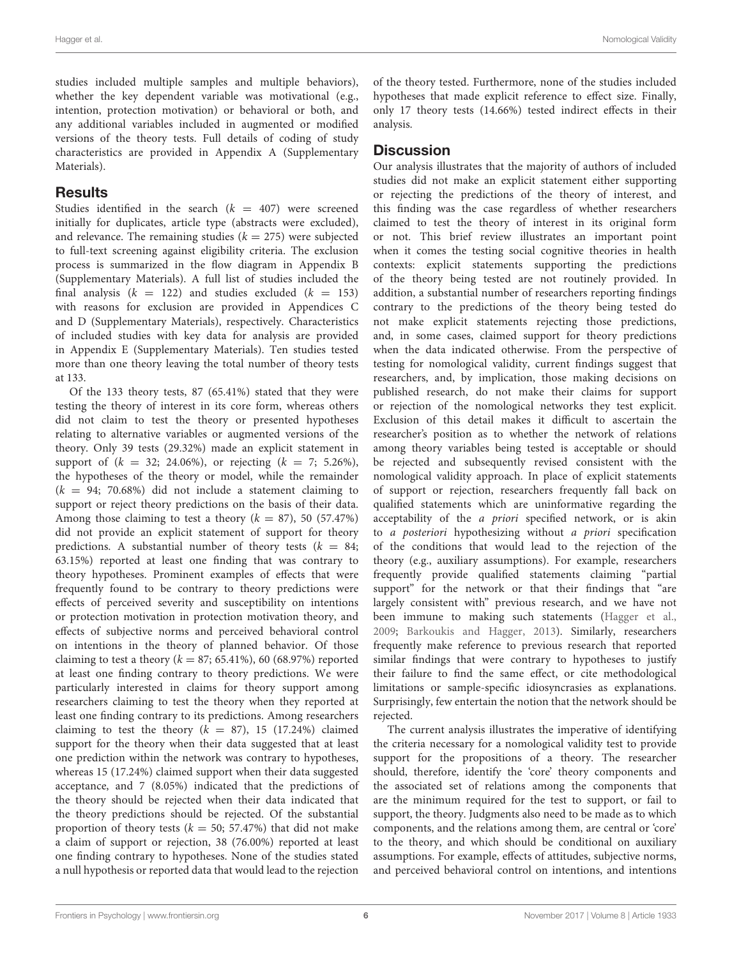studies included multiple samples and multiple behaviors), whether the key dependent variable was motivational (e.g., intention, protection motivation) or behavioral or both, and any additional variables included in augmented or modified versions of the theory tests. Full details of coding of study characteristics are provided in Appendix A (Supplementary Materials).

## **Results**

Studies identified in the search  $(k = 407)$  were screened initially for duplicates, article type (abstracts were excluded), and relevance. The remaining studies  $(k = 275)$  were subjected to full-text screening against eligibility criteria. The exclusion process is summarized in the flow diagram in Appendix B (Supplementary Materials). A full list of studies included the final analysis  $(k = 122)$  and studies excluded  $(k = 153)$ with reasons for exclusion are provided in Appendices C and D (Supplementary Materials), respectively. Characteristics of included studies with key data for analysis are provided in Appendix E (Supplementary Materials). Ten studies tested more than one theory leaving the total number of theory tests at 133.

Of the 133 theory tests, 87 (65.41%) stated that they were testing the theory of interest in its core form, whereas others did not claim to test the theory or presented hypotheses relating to alternative variables or augmented versions of the theory. Only 39 tests (29.32%) made an explicit statement in support of  $(k = 32; 24.06\%)$ , or rejecting  $(k = 7; 5.26\%)$ , the hypotheses of the theory or model, while the remainder  $(k = 94; 70.68%)$  did not include a statement claiming to support or reject theory predictions on the basis of their data. Among those claiming to test a theory  $(k = 87)$ , 50 (57.47%) did not provide an explicit statement of support for theory predictions. A substantial number of theory tests ( $k = 84$ ; 63.15%) reported at least one finding that was contrary to theory hypotheses. Prominent examples of effects that were frequently found to be contrary to theory predictions were effects of perceived severity and susceptibility on intentions or protection motivation in protection motivation theory, and effects of subjective norms and perceived behavioral control on intentions in the theory of planned behavior. Of those claiming to test a theory ( $k = 87$ ; 65.41%), 60 (68.97%) reported at least one finding contrary to theory predictions. We were particularly interested in claims for theory support among researchers claiming to test the theory when they reported at least one finding contrary to its predictions. Among researchers claiming to test the theory ( $k = 87$ ), 15 (17.24%) claimed support for the theory when their data suggested that at least one prediction within the network was contrary to hypotheses, whereas 15 (17.24%) claimed support when their data suggested acceptance, and 7 (8.05%) indicated that the predictions of the theory should be rejected when their data indicated that the theory predictions should be rejected. Of the substantial proportion of theory tests ( $k = 50$ ; 57.47%) that did not make a claim of support or rejection, 38 (76.00%) reported at least one finding contrary to hypotheses. None of the studies stated a null hypothesis or reported data that would lead to the rejection

of the theory tested. Furthermore, none of the studies included hypotheses that made explicit reference to effect size. Finally, only 17 theory tests (14.66%) tested indirect effects in their analysis.

#### **Discussion**

Our analysis illustrates that the majority of authors of included studies did not make an explicit statement either supporting or rejecting the predictions of the theory of interest, and this finding was the case regardless of whether researchers claimed to test the theory of interest in its original form or not. This brief review illustrates an important point when it comes the testing social cognitive theories in health contexts: explicit statements supporting the predictions of the theory being tested are not routinely provided. In addition, a substantial number of researchers reporting findings contrary to the predictions of the theory being tested do not make explicit statements rejecting those predictions, and, in some cases, claimed support for theory predictions when the data indicated otherwise. From the perspective of testing for nomological validity, current findings suggest that researchers, and, by implication, those making decisions on published research, do not make their claims for support or rejection of the nomological networks they test explicit. Exclusion of this detail makes it difficult to ascertain the researcher's position as to whether the network of relations among theory variables being tested is acceptable or should be rejected and subsequently revised consistent with the nomological validity approach. In place of explicit statements of support or rejection, researchers frequently fall back on qualified statements which are uninformative regarding the acceptability of the a priori specified network, or is akin to a posteriori hypothesizing without a priori specification of the conditions that would lead to the rejection of the theory (e.g., auxiliary assumptions). For example, researchers frequently provide qualified statements claiming "partial support" for the network or that their findings that "are largely consistent with" previous research, and we have not been immune to making such statements [\(Hagger et al.,](#page-12-23) [2009;](#page-12-23) [Barkoukis and Hagger,](#page-11-13) [2013\)](#page-11-13). Similarly, researchers frequently make reference to previous research that reported similar findings that were contrary to hypotheses to justify their failure to find the same effect, or cite methodological limitations or sample-specific idiosyncrasies as explanations. Surprisingly, few entertain the notion that the network should be rejected.

The current analysis illustrates the imperative of identifying the criteria necessary for a nomological validity test to provide support for the propositions of a theory. The researcher should, therefore, identify the 'core' theory components and the associated set of relations among the components that are the minimum required for the test to support, or fail to support, the theory. Judgments also need to be made as to which components, and the relations among them, are central or 'core' to the theory, and which should be conditional on auxiliary assumptions. For example, effects of attitudes, subjective norms, and perceived behavioral control on intentions, and intentions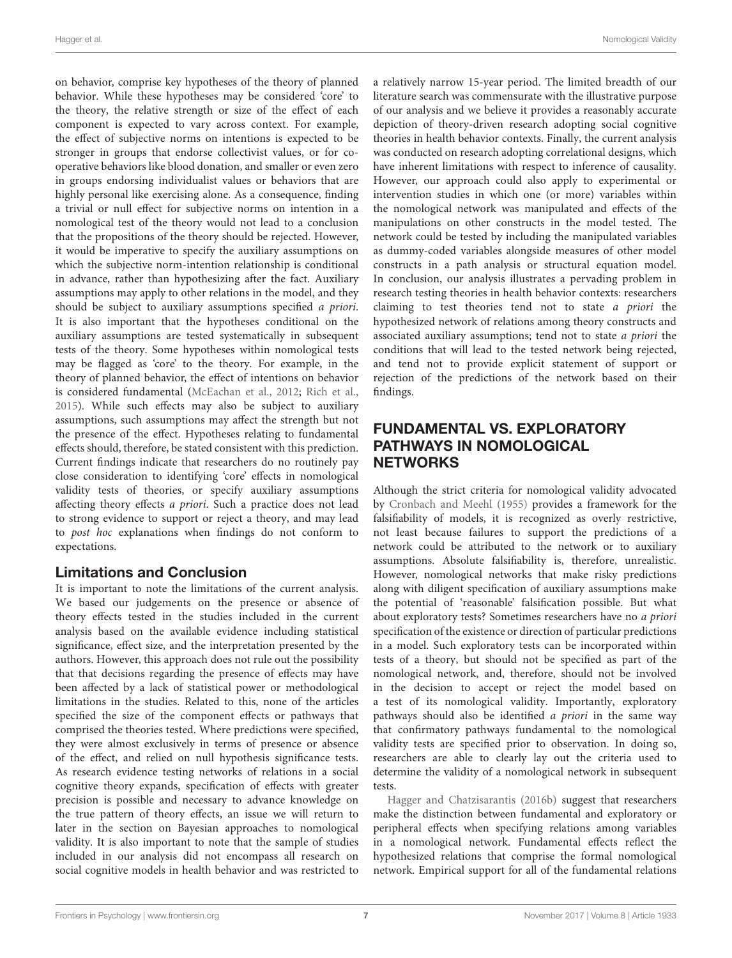on behavior, comprise key hypotheses of the theory of planned behavior. While these hypotheses may be considered 'core' to the theory, the relative strength or size of the effect of each component is expected to vary across context. For example, the effect of subjective norms on intentions is expected to be stronger in groups that endorse collectivist values, or for cooperative behaviors like blood donation, and smaller or even zero in groups endorsing individualist values or behaviors that are highly personal like exercising alone. As a consequence, finding a trivial or null effect for subjective norms on intention in a nomological test of the theory would not lead to a conclusion that the propositions of the theory should be rejected. However, it would be imperative to specify the auxiliary assumptions on which the subjective norm-intention relationship is conditional in advance, rather than hypothesizing after the fact. Auxiliary assumptions may apply to other relations in the model, and they should be subject to auxiliary assumptions specified a priori. It is also important that the hypotheses conditional on the auxiliary assumptions are tested systematically in subsequent tests of the theory. Some hypotheses within nomological tests may be flagged as 'core' to the theory. For example, in the theory of planned behavior, the effect of intentions on behavior is considered fundamental [\(McEachan et al.,](#page-12-24) [2012;](#page-12-24) [Rich et al.,](#page-12-25) [2015\)](#page-12-25). While such effects may also be subject to auxiliary assumptions, such assumptions may affect the strength but not the presence of the effect. Hypotheses relating to fundamental effects should, therefore, be stated consistent with this prediction. Current findings indicate that researchers do no routinely pay close consideration to identifying 'core' effects in nomological validity tests of theories, or specify auxiliary assumptions affecting theory effects a priori. Such a practice does not lead to strong evidence to support or reject a theory, and may lead to post hoc explanations when findings do not conform to expectations.

## Limitations and Conclusion

It is important to note the limitations of the current analysis. We based our judgements on the presence or absence of theory effects tested in the studies included in the current analysis based on the available evidence including statistical significance, effect size, and the interpretation presented by the authors. However, this approach does not rule out the possibility that that decisions regarding the presence of effects may have been affected by a lack of statistical power or methodological limitations in the studies. Related to this, none of the articles specified the size of the component effects or pathways that comprised the theories tested. Where predictions were specified, they were almost exclusively in terms of presence or absence of the effect, and relied on null hypothesis significance tests. As research evidence testing networks of relations in a social cognitive theory expands, specification of effects with greater precision is possible and necessary to advance knowledge on the true pattern of theory effects, an issue we will return to later in the section on Bayesian approaches to nomological validity. It is also important to note that the sample of studies included in our analysis did not encompass all research on social cognitive models in health behavior and was restricted to

a relatively narrow 15-year period. The limited breadth of our literature search was commensurate with the illustrative purpose of our analysis and we believe it provides a reasonably accurate depiction of theory-driven research adopting social cognitive theories in health behavior contexts. Finally, the current analysis was conducted on research adopting correlational designs, which have inherent limitations with respect to inference of causality. However, our approach could also apply to experimental or intervention studies in which one (or more) variables within the nomological network was manipulated and effects of the manipulations on other constructs in the model tested. The network could be tested by including the manipulated variables as dummy-coded variables alongside measures of other model constructs in a path analysis or structural equation model. In conclusion, our analysis illustrates a pervading problem in research testing theories in health behavior contexts: researchers claiming to test theories tend not to state a priori the hypothesized network of relations among theory constructs and associated auxiliary assumptions; tend not to state a priori the conditions that will lead to the tested network being rejected, and tend not to provide explicit statement of support or rejection of the predictions of the network based on their findings.

# FUNDAMENTAL VS. EXPLORATORY PATHWAYS IN NOMOLOGICAL **NETWORKS**

Although the strict criteria for nomological validity advocated by [Cronbach and Meehl](#page-11-2) [\(1955\)](#page-11-2) provides a framework for the falsifiability of models, it is recognized as overly restrictive, not least because failures to support the predictions of a network could be attributed to the network or to auxiliary assumptions. Absolute falsifiability is, therefore, unrealistic. However, nomological networks that make risky predictions along with diligent specification of auxiliary assumptions make the potential of 'reasonable' falsification possible. But what about exploratory tests? Sometimes researchers have no a priori specification of the existence or direction of particular predictions in a model. Such exploratory tests can be incorporated within tests of a theory, but should not be specified as part of the nomological network, and, therefore, should not be involved in the decision to accept or reject the model based on a test of its nomological validity. Importantly, exploratory pathways should also be identified a priori in the same way that confirmatory pathways fundamental to the nomological validity tests are specified prior to observation. In doing so, researchers are able to clearly lay out the criteria used to determine the validity of a nomological network in subsequent tests.

[Hagger and Chatzisarantis](#page-12-26) [\(2016b\)](#page-12-26) suggest that researchers make the distinction between fundamental and exploratory or peripheral effects when specifying relations among variables in a nomological network. Fundamental effects reflect the hypothesized relations that comprise the formal nomological network. Empirical support for all of the fundamental relations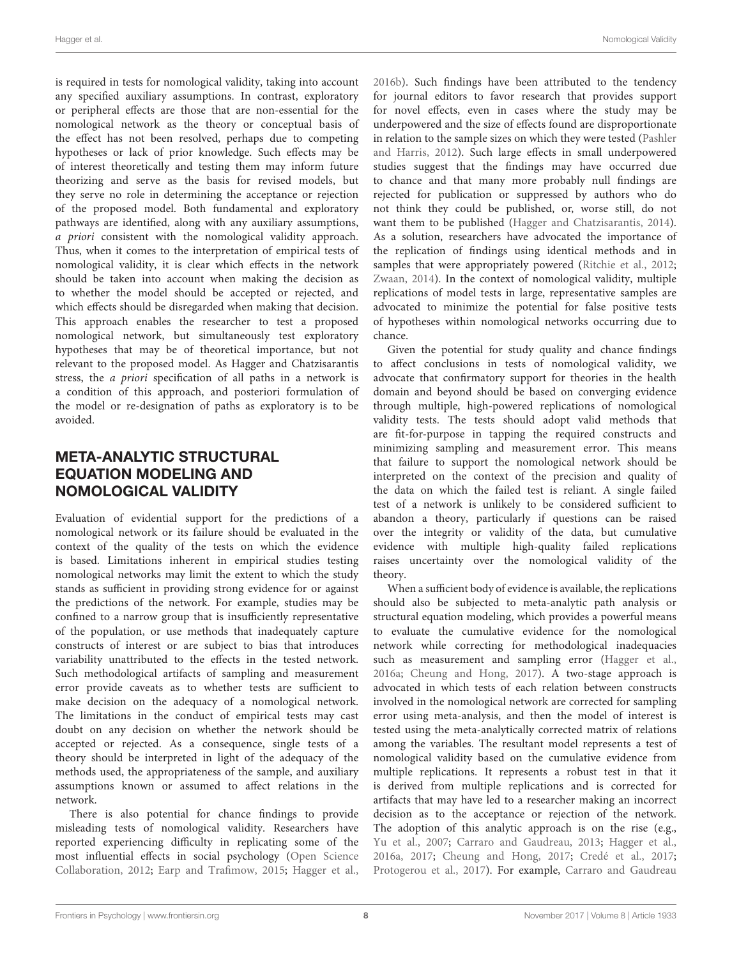is required in tests for nomological validity, taking into account any specified auxiliary assumptions. In contrast, exploratory or peripheral effects are those that are non-essential for the nomological network as the theory or conceptual basis of the effect has not been resolved, perhaps due to competing hypotheses or lack of prior knowledge. Such effects may be of interest theoretically and testing them may inform future theorizing and serve as the basis for revised models, but they serve no role in determining the acceptance or rejection of the proposed model. Both fundamental and exploratory pathways are identified, along with any auxiliary assumptions, a priori consistent with the nomological validity approach. Thus, when it comes to the interpretation of empirical tests of nomological validity, it is clear which effects in the network should be taken into account when making the decision as to whether the model should be accepted or rejected, and which effects should be disregarded when making that decision. This approach enables the researcher to test a proposed nomological network, but simultaneously test exploratory hypotheses that may be of theoretical importance, but not relevant to the proposed model. As Hagger and Chatzisarantis stress, the a priori specification of all paths in a network is a condition of this approach, and posteriori formulation of the model or re-designation of paths as exploratory is to be avoided.

# META-ANALYTIC STRUCTURAL EQUATION MODELING AND NOMOLOGICAL VALIDITY

Evaluation of evidential support for the predictions of a nomological network or its failure should be evaluated in the context of the quality of the tests on which the evidence is based. Limitations inherent in empirical studies testing nomological networks may limit the extent to which the study stands as sufficient in providing strong evidence for or against the predictions of the network. For example, studies may be confined to a narrow group that is insufficiently representative of the population, or use methods that inadequately capture constructs of interest or are subject to bias that introduces variability unattributed to the effects in the tested network. Such methodological artifacts of sampling and measurement error provide caveats as to whether tests are sufficient to make decision on the adequacy of a nomological network. The limitations in the conduct of empirical tests may cast doubt on any decision on whether the network should be accepted or rejected. As a consequence, single tests of a theory should be interpreted in light of the adequacy of the methods used, the appropriateness of the sample, and auxiliary assumptions known or assumed to affect relations in the network.

There is also potential for chance findings to provide misleading tests of nomological validity. Researchers have reported experiencing difficulty in replicating some of the most influential effects in social psychology [\(Open Science](#page-12-27) [Collaboration,](#page-12-27) [2012;](#page-12-27) [Earp and Trafimow,](#page-11-14) [2015;](#page-11-14) [Hagger et al.,](#page-12-28)

[2016b\)](#page-12-28). Such findings have been attributed to the tendency for journal editors to favor research that provides support for novel effects, even in cases where the study may be underpowered and the size of effects found are disproportionate in relation to the sample sizes on which they were tested [\(Pashler](#page-12-29) [and Harris,](#page-12-29) [2012\)](#page-12-29). Such large effects in small underpowered studies suggest that the findings may have occurred due to chance and that many more probably null findings are rejected for publication or suppressed by authors who do not think they could be published, or, worse still, do not want them to be published [\(Hagger and Chatzisarantis,](#page-12-30) [2014\)](#page-12-30). As a solution, researchers have advocated the importance of the replication of findings using identical methods and in samples that were appropriately powered [\(Ritchie et al.,](#page-12-31) [2012;](#page-12-31) [Zwaan,](#page-13-4) [2014\)](#page-13-4). In the context of nomological validity, multiple replications of model tests in large, representative samples are advocated to minimize the potential for false positive tests of hypotheses within nomological networks occurring due to chance.

Given the potential for study quality and chance findings to affect conclusions in tests of nomological validity, we advocate that confirmatory support for theories in the health domain and beyond should be based on converging evidence through multiple, high-powered replications of nomological validity tests. The tests should adopt valid methods that are fit-for-purpose in tapping the required constructs and minimizing sampling and measurement error. This means that failure to support the nomological network should be interpreted on the context of the precision and quality of the data on which the failed test is reliant. A single failed test of a network is unlikely to be considered sufficient to abandon a theory, particularly if questions can be raised over the integrity or validity of the data, but cumulative evidence with multiple high-quality failed replications raises uncertainty over the nomological validity of the theory.

When a sufficient body of evidence is available, the replications should also be subjected to meta-analytic path analysis or structural equation modeling, which provides a powerful means to evaluate the cumulative evidence for the nomological network while correcting for methodological inadequacies such as measurement and sampling error [\(Hagger et al.,](#page-11-15) [2016a;](#page-11-15) [Cheung and Hong,](#page-11-16) [2017\)](#page-11-16). A two-stage approach is advocated in which tests of each relation between constructs involved in the nomological network are corrected for sampling error using meta-analysis, and then the model of interest is tested using the meta-analytically corrected matrix of relations among the variables. The resultant model represents a test of nomological validity based on the cumulative evidence from multiple replications. It represents a robust test in that it is derived from multiple replications and is corrected for artifacts that may have led to a researcher making an incorrect decision as to the acceptance or rejection of the network. The adoption of this analytic approach is on the rise (e.g., [Yu et al.,](#page-13-5) [2007;](#page-13-5) [Carraro and Gaudreau,](#page-11-17) [2013;](#page-11-17) [Hagger et al.,](#page-11-15) [2016a,](#page-11-15) [2017;](#page-12-32) [Cheung and Hong,](#page-11-16) [2017;](#page-11-16) [Credé et al.,](#page-11-18) [2017;](#page-11-18) [Protogerou et al.,](#page-12-33) [2017\)](#page-12-33). For example, [Carraro and Gaudreau](#page-11-17)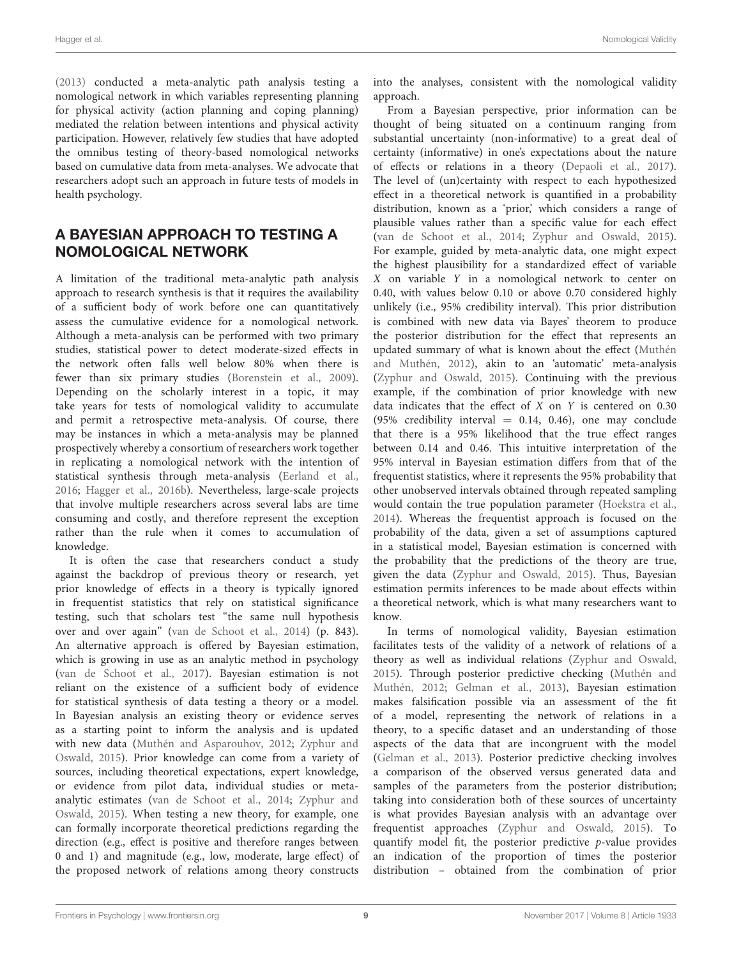[\(2013\)](#page-11-17) conducted a meta-analytic path analysis testing a nomological network in which variables representing planning for physical activity (action planning and coping planning) mediated the relation between intentions and physical activity participation. However, relatively few studies that have adopted the omnibus testing of theory-based nomological networks based on cumulative data from meta-analyses. We advocate that researchers adopt such an approach in future tests of models in health psychology.

# A BAYESIAN APPROACH TO TESTING A NOMOLOGICAL NETWORK

A limitation of the traditional meta-analytic path analysis approach to research synthesis is that it requires the availability of a sufficient body of work before one can quantitatively assess the cumulative evidence for a nomological network. Although a meta-analysis can be performed with two primary studies, statistical power to detect moderate-sized effects in the network often falls well below 80% when there is fewer than six primary studies [\(Borenstein et al.,](#page-11-19) [2009\)](#page-11-19). Depending on the scholarly interest in a topic, it may take years for tests of nomological validity to accumulate and permit a retrospective meta-analysis. Of course, there may be instances in which a meta-analysis may be planned prospectively whereby a consortium of researchers work together in replicating a nomological network with the intention of statistical synthesis through meta-analysis [\(Eerland et al.,](#page-11-20) [2016;](#page-11-20) [Hagger et al.,](#page-12-28) [2016b\)](#page-12-28). Nevertheless, large-scale projects that involve multiple researchers across several labs are time consuming and costly, and therefore represent the exception rather than the rule when it comes to accumulation of knowledge.

It is often the case that researchers conduct a study against the backdrop of previous theory or research, yet prior knowledge of effects in a theory is typically ignored in frequentist statistics that rely on statistical significance testing, such that scholars test "the same null hypothesis over and over again" [\(van de Schoot et al.,](#page-12-34) [2014\)](#page-12-34) (p. 843). An alternative approach is offered by Bayesian estimation, which is growing in use as an analytic method in psychology [\(van de Schoot et al.,](#page-12-35) [2017\)](#page-12-35). Bayesian estimation is not reliant on the existence of a sufficient body of evidence for statistical synthesis of data testing a theory or a model. In Bayesian analysis an existing theory or evidence serves as a starting point to inform the analysis and is updated with new data [\(Muthén and Asparouhov,](#page-12-36) [2012;](#page-12-36) [Zyphur and](#page-13-6) [Oswald,](#page-13-6) [2015\)](#page-13-6). Prior knowledge can come from a variety of sources, including theoretical expectations, expert knowledge, or evidence from pilot data, individual studies or metaanalytic estimates [\(van de Schoot et al.,](#page-12-34) [2014;](#page-12-34) [Zyphur and](#page-13-6) [Oswald,](#page-13-6) [2015\)](#page-13-6). When testing a new theory, for example, one can formally incorporate theoretical predictions regarding the direction (e.g., effect is positive and therefore ranges between 0 and 1) and magnitude (e.g., low, moderate, large effect) of the proposed network of relations among theory constructs

into the analyses, consistent with the nomological validity approach.

From a Bayesian perspective, prior information can be thought of being situated on a continuum ranging from substantial uncertainty (non-informative) to a great deal of certainty (informative) in one's expectations about the nature of effects or relations in a theory [\(Depaoli et al.,](#page-11-21) [2017\)](#page-11-21). The level of (un)certainty with respect to each hypothesized effect in a theoretical network is quantified in a probability distribution, known as a 'prior,' which considers a range of plausible values rather than a specific value for each effect [\(van de Schoot et al.,](#page-12-34) [2014;](#page-12-34) [Zyphur and Oswald,](#page-13-6) [2015\)](#page-13-6). For example, guided by meta-analytic data, one might expect the highest plausibility for a standardized effect of variable X on variable Y in a nomological network to center on 0.40, with values below 0.10 or above 0.70 considered highly unlikely (i.e., 95% credibility interval). This prior distribution is combined with new data via Bayes' theorem to produce the posterior distribution for the effect that represents an updated summary of what is known about the effect [\(Muthén](#page-12-37) [and Muthén,](#page-12-37) [2012\)](#page-12-37), akin to an 'automatic' meta-analysis [\(Zyphur and Oswald,](#page-13-6) [2015\)](#page-13-6). Continuing with the previous example, if the combination of prior knowledge with new data indicates that the effect of  $X$  on  $Y$  is centered on 0.30 (95% credibility interval = 0.14, 0.46), one may conclude that there is a 95% likelihood that the true effect ranges between 0.14 and 0.46. This intuitive interpretation of the 95% interval in Bayesian estimation differs from that of the frequentist statistics, where it represents the 95% probability that other unobserved intervals obtained through repeated sampling would contain the true population parameter [\(Hoekstra et al.,](#page-12-38) [2014\)](#page-12-38). Whereas the frequentist approach is focused on the probability of the data, given a set of assumptions captured in a statistical model, Bayesian estimation is concerned with the probability that the predictions of the theory are true, given the data [\(Zyphur and Oswald,](#page-13-6) [2015\)](#page-13-6). Thus, Bayesian estimation permits inferences to be made about effects within a theoretical network, which is what many researchers want to know.

In terms of nomological validity, Bayesian estimation facilitates tests of the validity of a network of relations of a theory as well as individual relations [\(Zyphur and Oswald,](#page-13-6) [2015\)](#page-13-6). Through posterior predictive checking [\(Muthén and](#page-12-37) [Muthén,](#page-12-37) [2012;](#page-12-37) [Gelman et al.,](#page-11-22) [2013\)](#page-11-22), Bayesian estimation makes falsification possible via an assessment of the fit of a model, representing the network of relations in a theory, to a specific dataset and an understanding of those aspects of the data that are incongruent with the model [\(Gelman et al.,](#page-11-22) [2013\)](#page-11-22). Posterior predictive checking involves a comparison of the observed versus generated data and samples of the parameters from the posterior distribution; taking into consideration both of these sources of uncertainty is what provides Bayesian analysis with an advantage over frequentist approaches [\(Zyphur and Oswald,](#page-13-6) [2015\)](#page-13-6). To quantify model fit, the posterior predictive p-value provides an indication of the proportion of times the posterior distribution – obtained from the combination of prior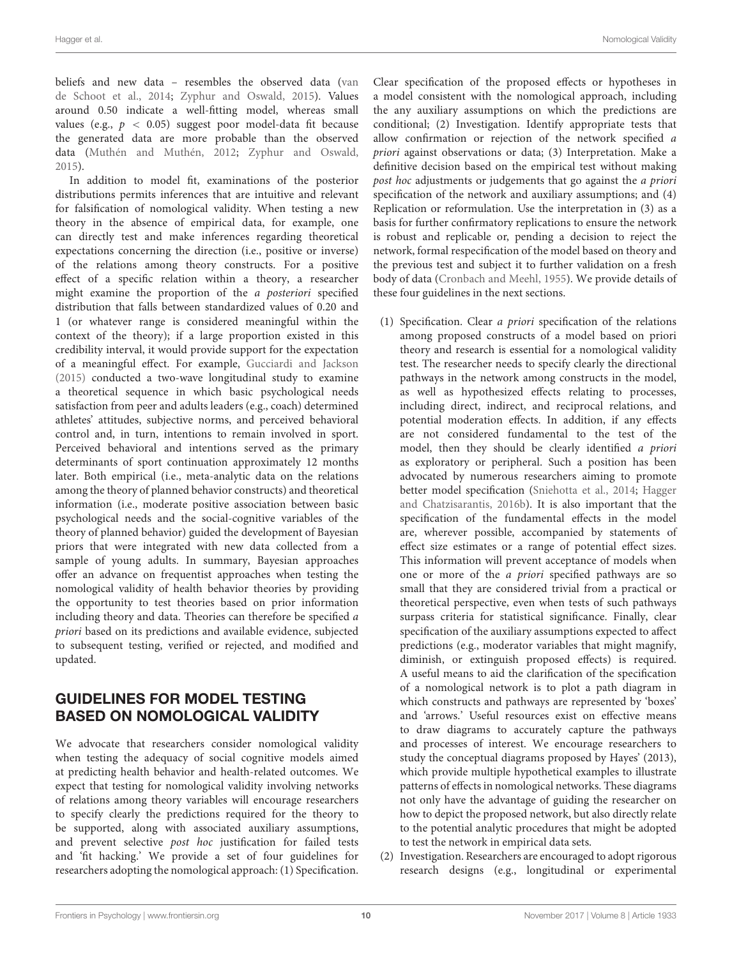beliefs and new data – resembles the observed data [\(van](#page-12-34) [de Schoot et al.,](#page-12-34) [2014;](#page-12-34) [Zyphur and Oswald,](#page-13-6) [2015\)](#page-13-6). Values around 0.50 indicate a well-fitting model, whereas small values (e.g.,  $p < 0.05$ ) suggest poor model-data fit because the generated data are more probable than the observed data [\(Muthén and Muthén,](#page-12-37) [2012;](#page-12-37) [Zyphur and Oswald,](#page-13-6) [2015\)](#page-13-6).

In addition to model fit, examinations of the posterior distributions permits inferences that are intuitive and relevant for falsification of nomological validity. When testing a new theory in the absence of empirical data, for example, one can directly test and make inferences regarding theoretical expectations concerning the direction (i.e., positive or inverse) of the relations among theory constructs. For a positive effect of a specific relation within a theory, a researcher might examine the proportion of the a posteriori specified distribution that falls between standardized values of 0.20 and 1 (or whatever range is considered meaningful within the context of the theory); if a large proportion existed in this credibility interval, it would provide support for the expectation of a meaningful effect. For example, [Gucciardi and Jackson](#page-11-23) [\(2015\)](#page-11-23) conducted a two-wave longitudinal study to examine a theoretical sequence in which basic psychological needs satisfaction from peer and adults leaders (e.g., coach) determined athletes' attitudes, subjective norms, and perceived behavioral control and, in turn, intentions to remain involved in sport. Perceived behavioral and intentions served as the primary determinants of sport continuation approximately 12 months later. Both empirical (i.e., meta-analytic data on the relations among the theory of planned behavior constructs) and theoretical information (i.e., moderate positive association between basic psychological needs and the social-cognitive variables of the theory of planned behavior) guided the development of Bayesian priors that were integrated with new data collected from a sample of young adults. In summary, Bayesian approaches offer an advance on frequentist approaches when testing the nomological validity of health behavior theories by providing the opportunity to test theories based on prior information including theory and data. Theories can therefore be specified a priori based on its predictions and available evidence, subjected to subsequent testing, verified or rejected, and modified and updated.

## GUIDELINES FOR MODEL TESTING BASED ON NOMOLOGICAL VALIDITY

We advocate that researchers consider nomological validity when testing the adequacy of social cognitive models aimed at predicting health behavior and health-related outcomes. We expect that testing for nomological validity involving networks of relations among theory variables will encourage researchers to specify clearly the predictions required for the theory to be supported, along with associated auxiliary assumptions, and prevent selective post hoc justification for failed tests and 'fit hacking.' We provide a set of four guidelines for researchers adopting the nomological approach: (1) Specification.

Clear specification of the proposed effects or hypotheses in a model consistent with the nomological approach, including the any auxiliary assumptions on which the predictions are conditional; (2) Investigation. Identify appropriate tests that allow confirmation or rejection of the network specified a priori against observations or data; (3) Interpretation. Make a definitive decision based on the empirical test without making post hoc adjustments or judgements that go against the a priori specification of the network and auxiliary assumptions; and (4) Replication or reformulation. Use the interpretation in (3) as a basis for further confirmatory replications to ensure the network is robust and replicable or, pending a decision to reject the network, formal respecification of the model based on theory and the previous test and subject it to further validation on a fresh body of data [\(Cronbach and Meehl,](#page-11-2) [1955\)](#page-11-2). We provide details of these four guidelines in the next sections.

- (1) Specification. Clear a priori specification of the relations among proposed constructs of a model based on priori theory and research is essential for a nomological validity test. The researcher needs to specify clearly the directional pathways in the network among constructs in the model, as well as hypothesized effects relating to processes, including direct, indirect, and reciprocal relations, and potential moderation effects. In addition, if any effects are not considered fundamental to the test of the model, then they should be clearly identified a priori as exploratory or peripheral. Such a position has been advocated by numerous researchers aiming to promote better model specification [\(Sniehotta et al.,](#page-12-39) [2014;](#page-12-39) [Hagger](#page-12-26) [and Chatzisarantis,](#page-12-26) [2016b\)](#page-12-26). It is also important that the specification of the fundamental effects in the model are, wherever possible, accompanied by statements of effect size estimates or a range of potential effect sizes. This information will prevent acceptance of models when one or more of the a priori specified pathways are so small that they are considered trivial from a practical or theoretical perspective, even when tests of such pathways surpass criteria for statistical significance. Finally, clear specification of the auxiliary assumptions expected to affect predictions (e.g., moderator variables that might magnify, diminish, or extinguish proposed effects) is required. A useful means to aid the clarification of the specification of a nomological network is to plot a path diagram in which constructs and pathways are represented by 'boxes' and 'arrows.' Useful resources exist on effective means to draw diagrams to accurately capture the pathways and processes of interest. We encourage researchers to study the conceptual diagrams proposed by Hayes' (2013), which provide multiple hypothetical examples to illustrate patterns of effects in nomological networks. These diagrams not only have the advantage of guiding the researcher on how to depict the proposed network, but also directly relate to the potential analytic procedures that might be adopted to test the network in empirical data sets.
- (2) Investigation. Researchers are encouraged to adopt rigorous research designs (e.g., longitudinal or experimental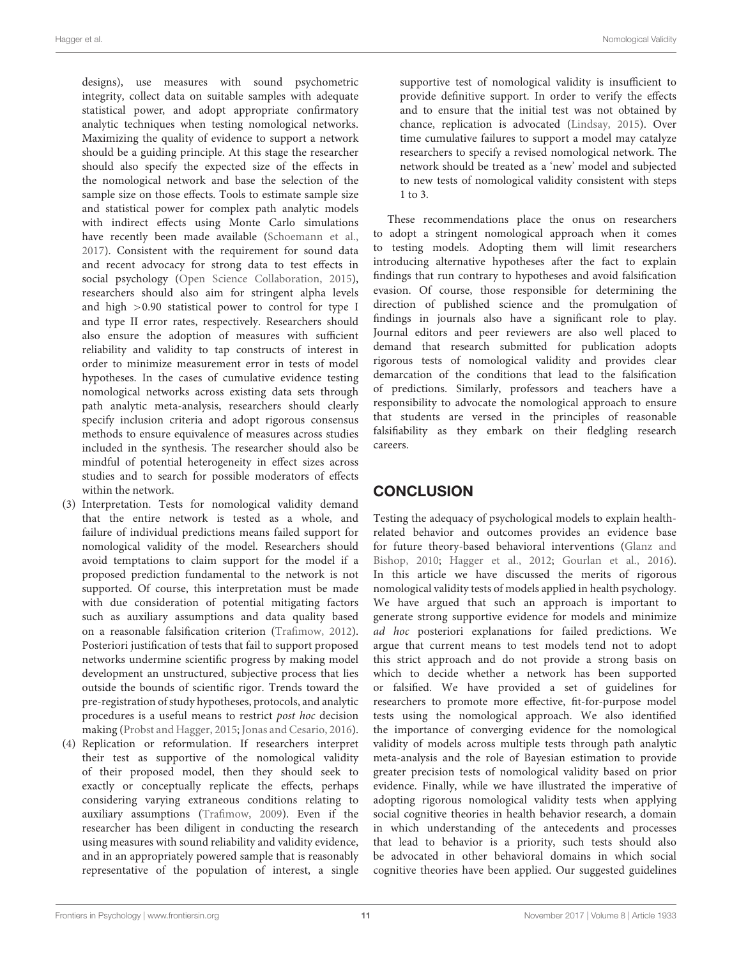designs), use measures with sound psychometric integrity, collect data on suitable samples with adequate statistical power, and adopt appropriate confirmatory analytic techniques when testing nomological networks. Maximizing the quality of evidence to support a network should be a guiding principle. At this stage the researcher should also specify the expected size of the effects in the nomological network and base the selection of the sample size on those effects. Tools to estimate sample size and statistical power for complex path analytic models with indirect effects using Monte Carlo simulations have recently been made available [\(Schoemann et al.,](#page-12-40) [2017\)](#page-12-40). Consistent with the requirement for sound data and recent advocacy for strong data to test effects in social psychology [\(Open Science Collaboration,](#page-12-41) [2015\)](#page-12-41), researchers should also aim for stringent alpha levels and high >0.90 statistical power to control for type I and type II error rates, respectively. Researchers should also ensure the adoption of measures with sufficient reliability and validity to tap constructs of interest in order to minimize measurement error in tests of model hypotheses. In the cases of cumulative evidence testing nomological networks across existing data sets through path analytic meta-analysis, researchers should clearly specify inclusion criteria and adopt rigorous consensus methods to ensure equivalence of measures across studies included in the synthesis. The researcher should also be mindful of potential heterogeneity in effect sizes across studies and to search for possible moderators of effects within the network.

- (3) Interpretation. Tests for nomological validity demand that the entire network is tested as a whole, and failure of individual predictions means failed support for nomological validity of the model. Researchers should avoid temptations to claim support for the model if a proposed prediction fundamental to the network is not supported. Of course, this interpretation must be made with due consideration of potential mitigating factors such as auxiliary assumptions and data quality based on a reasonable falsification criterion [\(Trafimow,](#page-12-6) [2012\)](#page-12-6). Posteriori justification of tests that fail to support proposed networks undermine scientific progress by making model development an unstructured, subjective process that lies outside the bounds of scientific rigor. Trends toward the pre-registration of study hypotheses, protocols, and analytic procedures is a useful means to restrict post hoc decision making [\(Probst and Hagger,](#page-12-42) [2015;](#page-12-42) [Jonas and Cesario,](#page-12-43) [2016\)](#page-12-43).
- (4) Replication or reformulation. If researchers interpret their test as supportive of the nomological validity of their proposed model, then they should seek to exactly or conceptually replicate the effects, perhaps considering varying extraneous conditions relating to auxiliary assumptions [\(Trafimow,](#page-12-8) [2009\)](#page-12-8). Even if the researcher has been diligent in conducting the research using measures with sound reliability and validity evidence, and in an appropriately powered sample that is reasonably representative of the population of interest, a single

supportive test of nomological validity is insufficient to provide definitive support. In order to verify the effects and to ensure that the initial test was not obtained by chance, replication is advocated [\(Lindsay,](#page-12-44) [2015\)](#page-12-44). Over time cumulative failures to support a model may catalyze researchers to specify a revised nomological network. The network should be treated as a 'new' model and subjected to new tests of nomological validity consistent with steps 1 to 3.

These recommendations place the onus on researchers to adopt a stringent nomological approach when it comes to testing models. Adopting them will limit researchers introducing alternative hypotheses after the fact to explain findings that run contrary to hypotheses and avoid falsification evasion. Of course, those responsible for determining the direction of published science and the promulgation of findings in journals also have a significant role to play. Journal editors and peer reviewers are also well placed to demand that research submitted for publication adopts rigorous tests of nomological validity and provides clear demarcation of the conditions that lead to the falsification of predictions. Similarly, professors and teachers have a responsibility to advocate the nomological approach to ensure that students are versed in the principles of reasonable falsifiability as they embark on their fledgling research careers.

# **CONCLUSION**

Testing the adequacy of psychological models to explain healthrelated behavior and outcomes provides an evidence base for future theory-based behavioral interventions [\(Glanz and](#page-11-24) [Bishop,](#page-11-24) [2010;](#page-11-24) [Hagger et al.,](#page-12-45) [2012;](#page-12-45) [Gourlan et al.,](#page-11-25) [2016\)](#page-11-25). In this article we have discussed the merits of rigorous nomological validity tests of models applied in health psychology. We have argued that such an approach is important to generate strong supportive evidence for models and minimize ad hoc posteriori explanations for failed predictions. We argue that current means to test models tend not to adopt this strict approach and do not provide a strong basis on which to decide whether a network has been supported or falsified. We have provided a set of guidelines for researchers to promote more effective, fit-for-purpose model tests using the nomological approach. We also identified the importance of converging evidence for the nomological validity of models across multiple tests through path analytic meta-analysis and the role of Bayesian estimation to provide greater precision tests of nomological validity based on prior evidence. Finally, while we have illustrated the imperative of adopting rigorous nomological validity tests when applying social cognitive theories in health behavior research, a domain in which understanding of the antecedents and processes that lead to behavior is a priority, such tests should also be advocated in other behavioral domains in which social cognitive theories have been applied. Our suggested guidelines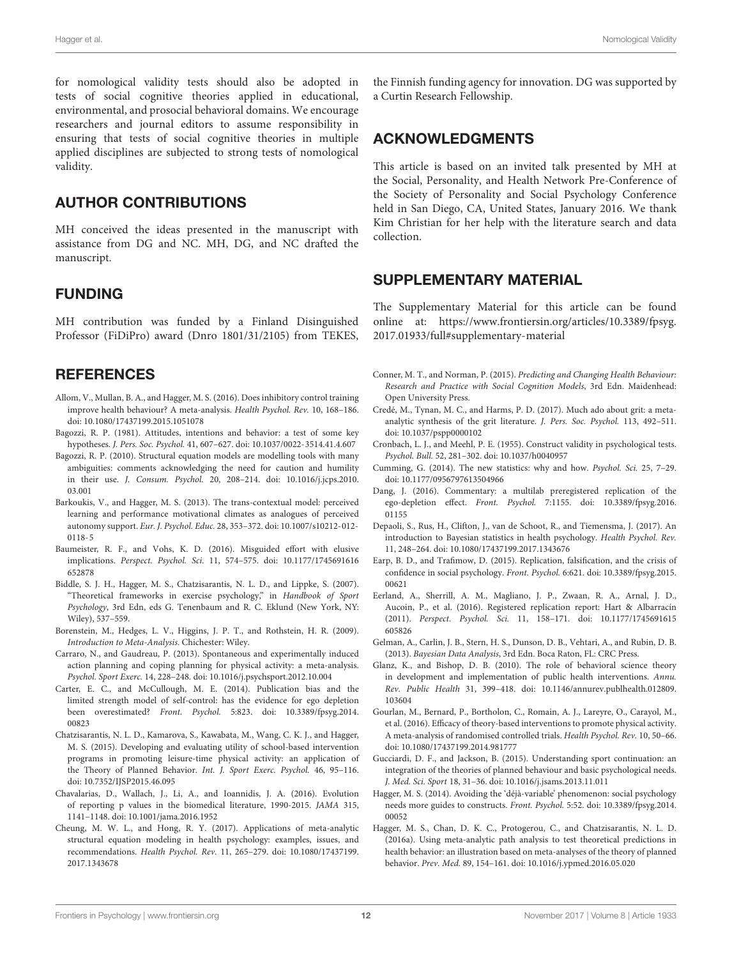for nomological validity tests should also be adopted in tests of social cognitive theories applied in educational, environmental, and prosocial behavioral domains. We encourage researchers and journal editors to assume responsibility in ensuring that tests of social cognitive theories in multiple applied disciplines are subjected to strong tests of nomological validity.

## AUTHOR CONTRIBUTIONS

MH conceived the ideas presented in the manuscript with assistance from DG and NC. MH, DG, and NC drafted the manuscript.

## FUNDING

MH contribution was funded by a Finland Disinguished Professor (FiDiPro) award (Dnro 1801/31/2105) from TEKES,

#### **REFERENCES**

- <span id="page-11-5"></span>Allom, V., Mullan, B. A., and Hagger, M. S. (2016). Does inhibitory control training improve health behaviour? A meta-analysis. Health Psychol. Rev. 10, 168–186. [doi: 10.1080/17437199.2015.1051078](https://doi.org/10.1080/17437199.2015.1051078)
- <span id="page-11-8"></span>Bagozzi, R. P. (1981). Attitudes, intentions and behavior: a test of some key hypotheses. J. Pers. Soc. Psychol. 41, 607–627. [doi: 10.1037/0022-3514.41.4.607](https://doi.org/10.1037/0022-3514.41.4.607)
- <span id="page-11-10"></span>Bagozzi, R. P. (2010). Structural equation models are modelling tools with many ambiguities: comments acknowledging the need for caution and humility in their use. J. Consum. Psychol. 20, 208–214. [doi: 10.1016/j.jcps.2010.](https://doi.org/10.1016/j.jcps.2010.03.001) [03.001](https://doi.org/10.1016/j.jcps.2010.03.001)
- <span id="page-11-13"></span>Barkoukis, V., and Hagger, M. S. (2013). The trans-contextual model: perceived learning and performance motivational climates as analogues of perceived autonomy support. Eur. J. Psychol. Educ. 28, 353–372. [doi: 10.1007/s10212-012-](https://doi.org/10.1007/s10212-012-0118-5) [0118-5](https://doi.org/10.1007/s10212-012-0118-5)
- <span id="page-11-4"></span>Baumeister, R. F., and Vohs, K. D. (2016). Misguided effort with elusive implications. Perspect. Psychol. Sci. 11, 574–575. [doi: 10.1177/1745691616](https://doi.org/10.1177/1745691616652878) [652878](https://doi.org/10.1177/1745691616652878)
- <span id="page-11-0"></span>Biddle, S. J. H., Hagger, M. S., Chatzisarantis, N. L. D., and Lippke, S. (2007). "Theoretical frameworks in exercise psychology," in Handbook of Sport Psychology, 3rd Edn, eds G. Tenenbaum and R. C. Eklund (New York, NY: Wiley), 537–559.
- <span id="page-11-19"></span>Borenstein, M., Hedges, L. V., Higgins, J. P. T., and Rothstein, H. R. (2009). Introduction to Meta-Analysis. Chichester: Wiley.
- <span id="page-11-17"></span>Carraro, N., and Gaudreau, P. (2013). Spontaneous and experimentally induced action planning and coping planning for physical activity: a meta-analysis. Psychol. Sport Exerc. 14, 228–248. [doi: 10.1016/j.psychsport.2012.10.004](https://doi.org/10.1016/j.psychsport.2012.10.004)
- <span id="page-11-3"></span>Carter, E. C., and McCullough, M. E. (2014). Publication bias and the limited strength model of self-control: has the evidence for ego depletion been overestimated? Front. Psychol. 5:823. [doi: 10.3389/fpsyg.2014.](https://doi.org/10.3389/fpsyg.2014.00823) [00823](https://doi.org/10.3389/fpsyg.2014.00823)
- <span id="page-11-9"></span>Chatzisarantis, N. L. D., Kamarova, S., Kawabata, M., Wang, C. K. J., and Hagger, M. S. (2015). Developing and evaluating utility of school-based intervention programs in promoting leisure-time physical activity: an application of the Theory of Planned Behavior. Int. J. Sport Exerc. Psychol. 46, 95–116. [doi: 10.7352/IJSP2015.46.095](https://doi.org/10.7352/IJSP2015.46.095)
- <span id="page-11-12"></span>Chavalarias, D., Wallach, J., Li, A., and Ioannidis, J. A. (2016). Evolution of reporting p values in the biomedical literature, 1990-2015. JAMA 315, 1141–1148. [doi: 10.1001/jama.2016.1952](https://doi.org/10.1001/jama.2016.1952)
- <span id="page-11-16"></span>Cheung, M. W. L., and Hong, R. Y. (2017). Applications of meta-analytic structural equation modeling in health psychology: examples, issues, and recommendations. Health Psychol. Rev. 11, 265–279. [doi: 10.1080/17437199.](https://doi.org/10.1080/17437199.2017.1343678) [2017.1343678](https://doi.org/10.1080/17437199.2017.1343678)

the Finnish funding agency for innovation. DG was supported by a Curtin Research Fellowship.

#### ACKNOWLEDGMENTS

This article is based on an invited talk presented by MH at the Social, Personality, and Health Network Pre-Conference of the Society of Personality and Social Psychology Conference held in San Diego, CA, United States, January 2016. We thank Kim Christian for her help with the literature search and data collection.

#### SUPPLEMENTARY MATERIAL

The Supplementary Material for this article can be found online at: [https://www.frontiersin.org/articles/10.3389/fpsyg.](https://www.frontiersin.org/articles/10.3389/fpsyg.2017.01933/full#supplementary-material) [2017.01933/full#supplementary-material](https://www.frontiersin.org/articles/10.3389/fpsyg.2017.01933/full#supplementary-material)

- <span id="page-11-1"></span>Conner, M. T., and Norman, P. (2015). Predicting and Changing Health Behaviour: Research and Practice with Social Cognition Models, 3rd Edn. Maidenhead: Open University Press.
- <span id="page-11-18"></span>Credé, M., Tynan, M. C., and Harms, P. D. (2017). Much ado about grit: a metaanalytic synthesis of the grit literature. J. Pers. Soc. Psychol. 113, 492–511. [doi: 10.1037/pspp0000102](https://doi.org/10.1037/pspp0000102)
- <span id="page-11-2"></span>Cronbach, L. J., and Meehl, P. E. (1955). Construct validity in psychological tests. Psychol. Bull. 52, 281–302. [doi: 10.1037/h0040957](https://doi.org/10.1037/h0040957)
- <span id="page-11-11"></span>Cumming, G. (2014). The new statistics: why and how. Psychol. Sci. 25, 7–29. [doi: 10.1177/0956797613504966](https://doi.org/10.1177/0956797613504966)
- <span id="page-11-6"></span>Dang, J. (2016). Commentary: a multilab preregistered replication of the ego-depletion effect. Front. Psychol. 7:1155. [doi: 10.3389/fpsyg.2016.](https://doi.org/10.3389/fpsyg.2016.01155) [01155](https://doi.org/10.3389/fpsyg.2016.01155)
- <span id="page-11-21"></span>Depaoli, S., Rus, H., Clifton, J., van de Schoot, R., and Tiemensma, J. (2017). An introduction to Bayesian statistics in health psychology. Health Psychol. Rev. 11, 248–264. [doi: 10.1080/17437199.2017.1343676](https://doi.org/10.1080/17437199.2017.1343676)
- <span id="page-11-14"></span>Earp, B. D., and Trafimow, D. (2015). Replication, falsification, and the crisis of confidence in social psychology. Front. Psychol. 6:621. [doi: 10.3389/fpsyg.2015.](https://doi.org/10.3389/fpsyg.2015.00621) [00621](https://doi.org/10.3389/fpsyg.2015.00621)
- <span id="page-11-20"></span>Eerland, A., Sherrill, A. M., Magliano, J. P., Zwaan, R. A., Arnal, J. D., Aucoin, P., et al. (2016). Registered replication report: Hart & Albarracín (2011). Perspect. Psychol. Sci. 11, 158–171. [doi: 10.1177/1745691615](https://doi.org/10.1177/1745691615605826) [605826](https://doi.org/10.1177/1745691615605826)
- <span id="page-11-22"></span>Gelman, A., Carlin, J. B., Stern, H. S., Dunson, D. B., Vehtari, A., and Rubin, D. B. (2013). Bayesian Data Analysis, 3rd Edn. Boca Raton, FL: CRC Press.
- <span id="page-11-24"></span>Glanz, K., and Bishop, D. B. (2010). The role of behavioral science theory in development and implementation of public health interventions. Annu. Rev. Public Health 31, 399–418. [doi: 10.1146/annurev.publhealth.012809.](https://doi.org/10.1146/annurev.publhealth.012809.103604) [103604](https://doi.org/10.1146/annurev.publhealth.012809.103604)
- <span id="page-11-25"></span>Gourlan, M., Bernard, P., Bortholon, C., Romain, A. J., Lareyre, O., Carayol, M., et al. (2016). Efficacy of theory-based interventions to promote physical activity. A meta-analysis of randomised controlled trials. Health Psychol. Rev. 10, 50–66. [doi: 10.1080/17437199.2014.981777](https://doi.org/10.1080/17437199.2014.981777)
- <span id="page-11-23"></span>Gucciardi, D. F., and Jackson, B. (2015). Understanding sport continuation: an integration of the theories of planned behaviour and basic psychological needs. J. Med. Sci. Sport 18, 31–36. [doi: 10.1016/j.jsams.2013.11.011](https://doi.org/10.1016/j.jsams.2013.11.011)
- <span id="page-11-7"></span>Hagger, M. S. (2014). Avoiding the 'déjà-variable' phenomenon: social psychology needs more guides to constructs. Front. Psychol. 5:52. [doi: 10.3389/fpsyg.2014.](https://doi.org/10.3389/fpsyg.2014.00052) [00052](https://doi.org/10.3389/fpsyg.2014.00052)
- <span id="page-11-15"></span>Hagger, M. S., Chan, D. K. C., Protogerou, C., and Chatzisarantis, N. L. D. (2016a). Using meta-analytic path analysis to test theoretical predictions in health behavior: an illustration based on meta-analyses of the theory of planned behavior. Prev. Med. 89, 154–161. [doi: 10.1016/j.ypmed.2016.05.020](https://doi.org/10.1016/j.ypmed.2016.05.020)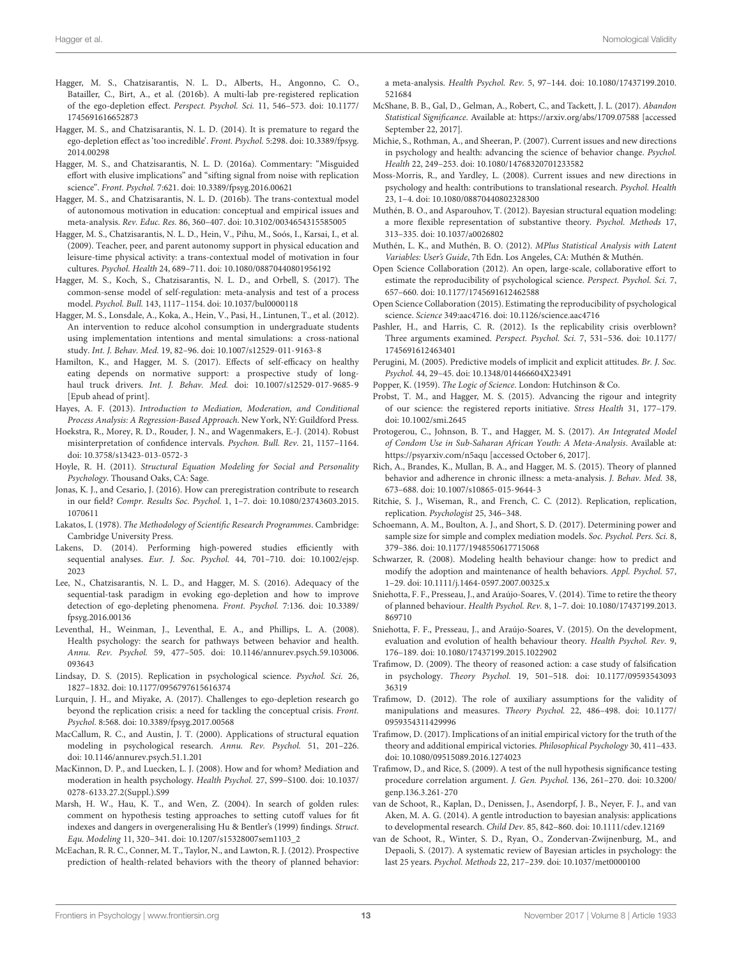- <span id="page-12-28"></span>Hagger, M. S., Chatzisarantis, N. L. D., Alberts, H., Angonno, C. O., Batailler, C., Birt, A., et al. (2016b). A multi-lab pre-registered replication of the ego-depletion effect. Perspect. Psychol. Sci. 11, 546–573. [doi: 10.1177/](https://doi.org/10.1177/1745691616652873) [1745691616652873](https://doi.org/10.1177/1745691616652873)
- <span id="page-12-30"></span>Hagger, M. S., and Chatzisarantis, N. L. D. (2014). It is premature to regard the ego-depletion effect as 'too incredible'. Front. Psychol. 5:298. [doi: 10.3389/fpsyg.](https://doi.org/10.3389/fpsyg.2014.00298) [2014.00298](https://doi.org/10.3389/fpsyg.2014.00298)
- <span id="page-12-9"></span>Hagger, M. S., and Chatzisarantis, N. L. D. (2016a). Commentary: "Misguided effort with elusive implications" and "sifting signal from noise with replication science". Front. Psychol. 7:621. [doi: 10.3389/fpsyg.2016.00621](https://doi.org/10.3389/fpsyg.2016.00621)
- <span id="page-12-26"></span>Hagger, M. S., and Chatzisarantis, N. L. D. (2016b). The trans-contextual model of autonomous motivation in education: conceptual and empirical issues and meta-analysis. Rev. Educ. Res. 86, 360–407. [doi: 10.3102/0034654315585005](https://doi.org/10.3102/0034654315585005)
- <span id="page-12-23"></span>Hagger, M. S., Chatzisarantis, N. L. D., Hein, V., Pihu, M., Soós, I., Karsai, I., et al. (2009). Teacher, peer, and parent autonomy support in physical education and leisure-time physical activity: a trans-contextual model of motivation in four cultures. Psychol. Health 24, 689–711. [doi: 10.1080/08870440801956192](https://doi.org/10.1080/08870440801956192)
- <span id="page-12-32"></span>Hagger, M. S., Koch, S., Chatzisarantis, N. L. D., and Orbell, S. (2017). The common-sense model of self-regulation: meta-analysis and test of a process model. Psychol. Bull. 143, 1117–1154. [doi: 10.1037/bul0000118](https://doi.org/10.1037/bul0000118)
- <span id="page-12-45"></span>Hagger, M. S., Lonsdale, A., Koka, A., Hein, V., Pasi, H., Lintunen, T., et al. (2012). An intervention to reduce alcohol consumption in undergraduate students using implementation intentions and mental simulations: a cross-national study. Int. J. Behav. Med. 19, 82–96. [doi: 10.1007/s12529-011-9163-8](https://doi.org/10.1007/s12529-011-9163-8)
- <span id="page-12-16"></span>Hamilton, K., and Hagger, M. S. (2017). Effects of self-efficacy on healthy eating depends on normative support: a prospective study of longhaul truck drivers. Int. J. Behav. Med. [doi: 10.1007/s12529-017-9685-9](https://doi.org/10.1007/s12529-017-9685-9) [Epub ahead of print].
- <span id="page-12-15"></span>Hayes, A. F. (2013). Introduction to Mediation, Moderation, and Conditional Process Analysis: A Regression-Based Approach. New York, NY: Guildford Press.
- <span id="page-12-38"></span>Hoekstra, R., Morey, R. D., Rouder, J. N., and Wagenmakers, E.-J. (2014). Robust misinterpretation of confidence intervals. Psychon. Bull. Rev. 21, 1157–1164. [doi: 10.3758/s13423-013-0572-3](https://doi.org/10.3758/s13423-013-0572-3)
- <span id="page-12-17"></span>Hoyle, R. H. (2011). Structural Equation Modeling for Social and Personality Psychology. Thousand Oaks, CA: Sage.
- <span id="page-12-43"></span>Jonas, K. J., and Cesario, J. (2016). How can preregistration contribute to research in our field? Compr. Results Soc. Psychol. 1, 1–7. [doi: 10.1080/23743603.2015.](https://doi.org/10.1080/23743603.2015.1070611) [1070611](https://doi.org/10.1080/23743603.2015.1070611)
- <span id="page-12-5"></span>Lakatos, I. (1978). The Methodology of Scientific Research Programmes. Cambridge: Cambridge University Press.
- <span id="page-12-22"></span>Lakens, D. (2014). Performing high-powered studies efficiently with sequential analyses. Eur. J. Soc. Psychol. 44, 701–710. [doi: 10.1002/ejsp.](https://doi.org/10.1002/ejsp.2023) [2023](https://doi.org/10.1002/ejsp.2023)
- <span id="page-12-11"></span>Lee, N., Chatzisarantis, N. L. D., and Hagger, M. S. (2016). Adequacy of the sequential-task paradigm in evoking ego-depletion and how to improve detection of ego-depleting phenomena. Front. Psychol. 7:136. [doi: 10.3389/](https://doi.org/10.3389/fpsyg.2016.00136) [fpsyg.2016.00136](https://doi.org/10.3389/fpsyg.2016.00136)
- <span id="page-12-0"></span>Leventhal, H., Weinman, J., Leventhal, E. A., and Phillips, L. A. (2008). Health psychology: the search for pathways between behavior and health. Annu. Rev. Psychol. 59, 477–505. [doi: 10.1146/annurev.psych.59.103006.](https://doi.org/10.1146/annurev.psych.59.103006.093643) [093643](https://doi.org/10.1146/annurev.psych.59.103006.093643)
- <span id="page-12-44"></span>Lindsay, D. S. (2015). Replication in psychological science. Psychol. Sci. 26, 1827–1832. [doi: 10.1177/0956797615616374](https://doi.org/10.1177/0956797615616374)
- <span id="page-12-10"></span>Lurquin, J. H., and Miyake, A. (2017). Challenges to ego-depletion research go beyond the replication crisis: a need for tackling the conceptual crisis. Front. Psychol. 8:568. [doi: 10.3389/fpsyg.2017.00568](https://doi.org/10.3389/fpsyg.2017.00568)
- <span id="page-12-18"></span>MacCallum, R. C., and Austin, J. T. (2000). Applications of structural equation modeling in psychological research. Annu. Rev. Psychol. 51, 201–226. [doi: 10.1146/annurev.psych.51.1.201](https://doi.org/10.1146/annurev.psych.51.1.201)
- <span id="page-12-14"></span>MacKinnon, D. P., and Luecken, L. J. (2008). How and for whom? Mediation and moderation in health psychology. Health Psychol. 27, S99–S100. [doi: 10.1037/](https://doi.org/10.1037/0278-6133.27.2(Suppl.).S99) [0278-6133.27.2\(Suppl.\).S99](https://doi.org/10.1037/0278-6133.27.2(Suppl.).S99)
- <span id="page-12-19"></span>Marsh, H. W., Hau, K. T., and Wen, Z. (2004). In search of golden rules: comment on hypothesis testing approaches to setting cutoff values for fit indexes and dangers in overgeneralising Hu & Bentler's (1999) findings. Struct. Equ. Modeling 11, 320–341. [doi: 10.1207/s15328007sem1103\\_2](https://doi.org/10.1207/s15328007sem1103_2)
- <span id="page-12-24"></span>McEachan, R. R. C., Conner, M. T., Taylor, N., and Lawton, R. J. (2012). Prospective prediction of health-related behaviors with the theory of planned behavior:

a meta-analysis. Health Psychol. Rev. 5, 97–144. [doi: 10.1080/17437199.2010.](https://doi.org/10.1080/17437199.2010.521684) [521684](https://doi.org/10.1080/17437199.2010.521684)

- <span id="page-12-21"></span>McShane, B. B., Gal, D., Gelman, A., Robert, C., and Tackett, J. L. (2017). Abandon Statistical Significance. Available at: <https://arxiv.org/abs/1709.07588> [accessed September 22, 2017].
- <span id="page-12-13"></span>Michie, S., Rothman, A., and Sheeran, P. (2007). Current issues and new directions in psychology and health: advancing the science of behavior change. Psychol. Health 22, 249–253. [doi: 10.1080/14768320701233582](https://doi.org/10.1080/14768320701233582)
- <span id="page-12-3"></span>Moss-Morris, R., and Yardley, L. (2008). Current issues and new directions in psychology and health: contributions to translational research. Psychol. Health 23, 1–4. [doi: 10.1080/08870440802328300](https://doi.org/10.1080/08870440802328300)
- <span id="page-12-36"></span>Muthén, B. O., and Asparouhov, T. (2012). Bayesian structural equation modeling: a more flexible representation of substantive theory. Psychol. Methods 17, 313–335. [doi: 10.1037/a0026802](https://doi.org/10.1037/a0026802)
- <span id="page-12-37"></span>Muthén, L. K., and Muthén, B. O. (2012). MPlus Statistical Analysis with Latent Variables: User's Guide, 7th Edn. Los Angeles, CA: Muthén & Muthén.
- <span id="page-12-27"></span>Open Science Collaboration (2012). An open, large-scale, collaborative effort to estimate the reproducibility of psychological science. Perspect. Psychol. Sci. 7, 657–660. [doi: 10.1177/1745691612462588](https://doi.org/10.1177/1745691612462588)
- <span id="page-12-41"></span>Open Science Collaboration (2015). Estimating the reproducibility of psychological science. Science 349:aac4716. [doi: 10.1126/science.aac4716](https://doi.org/10.1126/science.aac4716)
- <span id="page-12-29"></span>Pashler, H., and Harris, C. R. (2012). Is the replicability crisis overblown? Three arguments examined. Perspect. Psychol. Sci. 7, 531–536. [doi: 10.1177/](https://doi.org/10.1177/1745691612463401) [1745691612463401](https://doi.org/10.1177/1745691612463401)
- <span id="page-12-12"></span>Perugini, M. (2005). Predictive models of implicit and explicit attitudes. Br. J. Soc. Psychol. 44, 29–45. [doi: 10.1348/014466604X23491](https://doi.org/10.1348/014466604X23491)
- <span id="page-12-4"></span>Popper, K. (1959). The Logic of Science. London: Hutchinson & Co.
- <span id="page-12-42"></span>Probst, T. M., and Hagger, M. S. (2015). Advancing the rigour and integrity of our science: the registered reports initiative. Stress Health 31, 177–179. [doi: 10.1002/smi.2645](https://doi.org/10.1002/smi.2645)
- <span id="page-12-33"></span>Protogerou, C., Johnson, B. T., and Hagger, M. S. (2017). An Integrated Model of Condom Use in Sub-Saharan African Youth: A Meta-Analysis. Available at: <https://psyarxiv.com/n5aqu> [accessed October 6, 2017].
- <span id="page-12-25"></span>Rich, A., Brandes, K., Mullan, B. A., and Hagger, M. S. (2015). Theory of planned behavior and adherence in chronic illness: a meta-analysis. J. Behav. Med. 38, 673–688. [doi: 10.1007/s10865-015-9644-3](https://doi.org/10.1007/s10865-015-9644-3)
- <span id="page-12-31"></span>Ritchie, S. J., Wiseman, R., and French, C. C. (2012). Replication, replication, replication. Psychologist 25, 346–348.
- <span id="page-12-40"></span>Schoemann, A. M., Boulton, A. J., and Short, S. D. (2017). Determining power and sample size for simple and complex mediation models. Soc. Psychol. Pers. Sci. 8, 379–386. [doi: 10.1177/1948550617715068](https://doi.org/10.1177/1948550617715068)
- <span id="page-12-1"></span>Schwarzer, R. (2008). Modeling health behaviour change: how to predict and modify the adoption and maintenance of health behaviors. Appl. Psychol. 57, 1–29. [doi: 10.1111/j.1464-0597.2007.00325.x](https://doi.org/10.1111/j.1464-0597.2007.00325.x)
- <span id="page-12-39"></span>Sniehotta, F. F., Presseau, J., and Araújo-Soares, V. (2014). Time to retire the theory of planned behaviour. Health Psychol. Rev. 8, 1–7. [doi: 10.1080/17437199.2013.](https://doi.org/10.1080/17437199.2013.869710) [869710](https://doi.org/10.1080/17437199.2013.869710)
- <span id="page-12-2"></span>Sniehotta, F. F., Presseau, J., and Araújo-Soares, V. (2015). On the development, evaluation and evolution of health behaviour theory. Health Psychol. Rev. 9, 176–189. [doi: 10.1080/17437199.2015.1022902](https://doi.org/10.1080/17437199.2015.1022902)
- <span id="page-12-8"></span>Trafimow, D. (2009). The theory of reasoned action: a case study of falsification in psychology. Theory Psychol. 19, 501–518. [doi: 10.1177/09593543093](https://doi.org/10.1177/0959354309336319) [36319](https://doi.org/10.1177/0959354309336319)
- <span id="page-12-6"></span>Trafimow, D. (2012). The role of auxiliary assumptions for the validity of manipulations and measures. Theory Psychol. 22, 486–498. [doi: 10.1177/](https://doi.org/10.1177/0959354311429996) [0959354311429996](https://doi.org/10.1177/0959354311429996)
- <span id="page-12-7"></span>Trafimow, D. (2017). Implications of an initial empirical victory for the truth of the theory and additional empirical victories. Philosophical Psychology 30, 411–433. [doi: 10.1080/09515089.2016.1274023](https://doi.org/10.1080/09515089.2016.1274023)
- <span id="page-12-20"></span>Trafimow, D., and Rice, S. (2009). A test of the null hypothesis significance testing procedure correlation argument. J. Gen. Psychol. 136, 261–270. [doi: 10.3200/](https://doi.org/10.3200/genp.136.3.261-270) [genp.136.3.261-270](https://doi.org/10.3200/genp.136.3.261-270)
- <span id="page-12-34"></span>van de Schoot, R., Kaplan, D., Denissen, J., Asendorpf, J. B., Neyer, F. J., and van Aken, M. A. G. (2014). A gentle introduction to bayesian analysis: applications to developmental research. Child Dev. 85, 842–860. [doi: 10.1111/cdev.12169](https://doi.org/10.1111/cdev.12169)
- <span id="page-12-35"></span>van de Schoot, R., Winter, S. D., Ryan, O., Zondervan-Zwijnenburg, M., and Depaoli, S. (2017). A systematic review of Bayesian articles in psychology: the last 25 years. Psychol. Methods 22, 217–239. [doi: 10.1037/met0000100](https://doi.org/10.1037/met0000100)